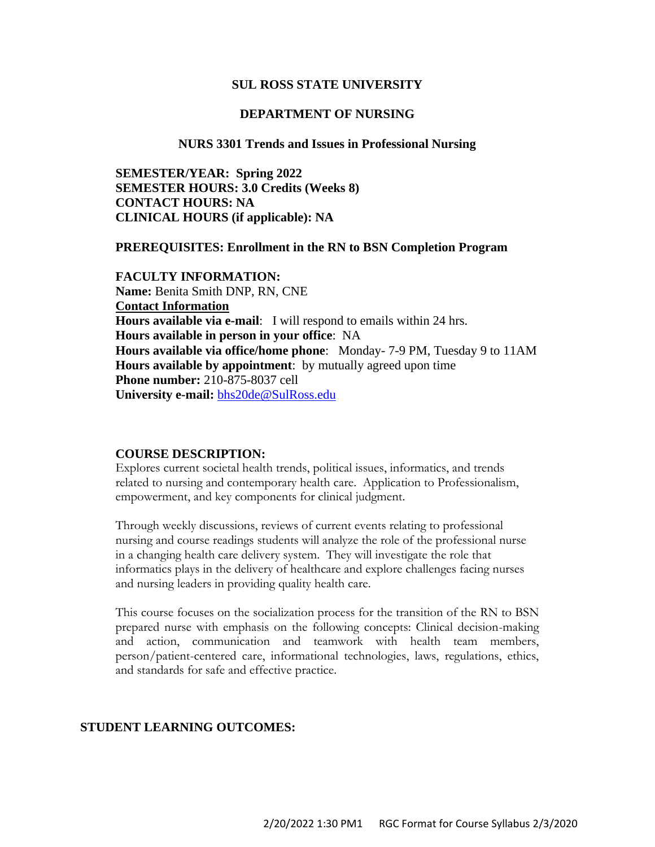#### **SUL ROSS STATE UNIVERSITY**

#### **DEPARTMENT OF NURSING**

#### **NURS 3301 Trends and Issues in Professional Nursing**

**SEMESTER/YEAR: Spring 2022 SEMESTER HOURS: 3.0 Credits (Weeks 8) CONTACT HOURS: NA CLINICAL HOURS (if applicable): NA**

#### **PREREQUISITES: Enrollment in the RN to BSN Completion Program**

**FACULTY INFORMATION: Name:** Benita Smith DNP, RN, CNE **Contact Information Hours available via e-mail**: I will respond to emails within 24 hrs. **Hours available in person in your office**: NA **Hours available via office/home phone**: Monday- 7-9 PM, Tuesday 9 to 11AM **Hours available by appointment**: by mutually agreed upon time **Phone number:** 210-875-8037 cell **University e-mail:** [bhs20de@SulRoss.edu](../AppData/Downloads/bhs20de@SulRoss.edu)

#### **COURSE DESCRIPTION:**

Explores current societal health trends, political issues, informatics, and trends related to nursing and contemporary health care. Application to Professionalism, empowerment, and key components for clinical judgment.

Through weekly discussions, reviews of current events relating to professional nursing and course readings students will analyze the role of the professional nurse in a changing health care delivery system. They will investigate the role that informatics plays in the delivery of healthcare and explore challenges facing nurses and nursing leaders in providing quality health care.

This course focuses on the socialization process for the transition of the RN to BSN prepared nurse with emphasis on the following concepts: Clinical decision-making and action, communication and teamwork with health team members, person/patient-centered care, informational technologies, laws, regulations, ethics, and standards for safe and effective practice.

#### **STUDENT LEARNING OUTCOMES:**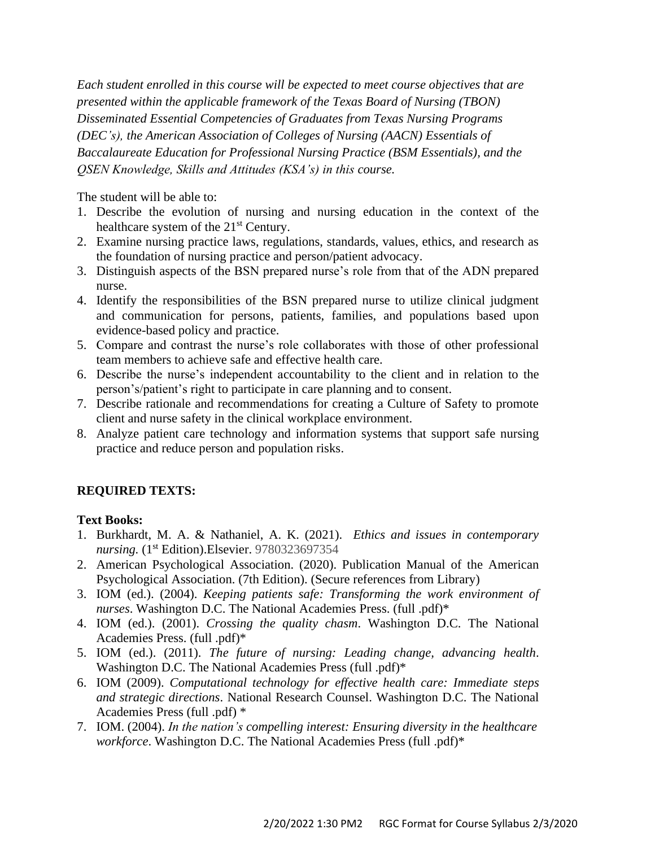*Each student enrolled in this course will be expected to meet course objectives that are presented within the applicable framework of the Texas Board of Nursing (TBON) Disseminated Essential Competencies of Graduates from Texas Nursing Programs (DEC's), the American Association of Colleges of Nursing (AACN) Essentials of Baccalaureate Education for Professional Nursing Practice (BSM Essentials), and the QSEN Knowledge, Skills and Attitudes (KSA's) in this course.*

The student will be able to:

- 1. Describe the evolution of nursing and nursing education in the context of the healthcare system of the 21<sup>st</sup> Century.
- 2. Examine nursing practice laws, regulations, standards, values, ethics, and research as the foundation of nursing practice and person/patient advocacy.
- 3. Distinguish aspects of the BSN prepared nurse's role from that of the ADN prepared nurse.
- 4. Identify the responsibilities of the BSN prepared nurse to utilize clinical judgment and communication for persons, patients, families, and populations based upon evidence-based policy and practice.
- 5. Compare and contrast the nurse's role collaborates with those of other professional team members to achieve safe and effective health care.
- 6. Describe the nurse's independent accountability to the client and in relation to the person's/patient's right to participate in care planning and to consent.
- 7. Describe rationale and recommendations for creating a Culture of Safety to promote client and nurse safety in the clinical workplace environment.
- 8. Analyze patient care technology and information systems that support safe nursing practice and reduce person and population risks.

# **REQUIRED TEXTS:**

## **Text Books:**

- 1. Burkhardt, M. A. & Nathaniel, A. K. (2021). *Ethics and issues in contemporary nursing.* (1 st Edition).Elsevier. 9780323697354
- 2. American Psychological Association. (2020). Publication Manual of the American Psychological Association. (7th Edition). (Secure references from Library)
- 3. IOM (ed.). (2004). *Keeping patients safe: Transforming the work environment of nurses*. Washington D.C. The National Academies Press. (full .pdf)\*
- 4. IOM (ed.). (2001). *Crossing the quality chasm*. Washington D.C. The National Academies Press. (full .pdf)\*
- 5. IOM (ed.). (2011). *The future of nursing: Leading change, advancing health*. Washington D.C. The National Academies Press (full .pdf)\*
- 6. IOM (2009). *Computational technology for effective health care: Immediate steps and strategic directions*. National Research Counsel. Washington D.C. The National Academies Press (full .pdf) \*
- 7. IOM. (2004). *In the nation's compelling interest: Ensuring diversity in the healthcare workforce*. Washington D.C. The National Academies Press (full .pdf)\*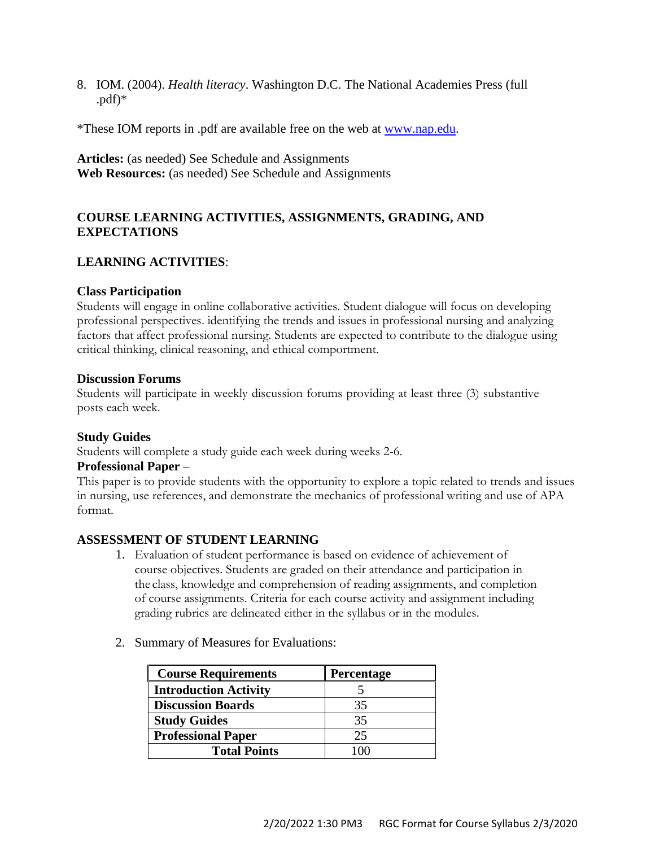8. IOM. (2004). *Health literacy*. Washington D.C. The National Academies Press (full  $.pdf$ .pdf) $*$ 

\*These IOM reports in .pdf are available free on the web at [www.nap.edu.](http://www.nap.edu/)

**Articles:** (as needed) See Schedule and Assignments **Web Resources:** (as needed) See Schedule and Assignments

# **COURSE LEARNING ACTIVITIES, ASSIGNMENTS, GRADING, AND EXPECTATIONS**

# **LEARNING ACTIVITIES**:

## **Class Participation**

Students will engage in online collaborative activities. Student dialogue will focus on developing professional perspectives. identifying the trends and issues in professional nursing and analyzing factors that affect professional nursing. Students are expected to contribute to the dialogue using critical thinking, clinical reasoning, and ethical comportment.

#### **Discussion Forums**

Students will participate in weekly discussion forums providing at least three (3) substantive posts each week.

## **Study Guides**

Students will complete a study guide each week during weeks 2-6.

#### **Professional Paper** –

This paper is to provide students with the opportunity to explore a topic related to trends and issues in nursing, use references, and demonstrate the mechanics of professional writing and use of APA format.

## **ASSESSMENT OF STUDENT LEARNING**

- 1. Evaluation of student performance is based on evidence of achievement of course objectives. Students are graded on their attendance and participation in the class, knowledge and comprehension of reading assignments, and completion of course assignments. Criteria for each course activity and assignment including grading rubrics are delineated either in the syllabus or in the modules.
- 2. Summary of Measures for Evaluations:

| <b>Course Requirements</b>   | Percentage |
|------------------------------|------------|
| <b>Introduction Activity</b> |            |
| <b>Discussion Boards</b>     | 35         |
| <b>Study Guides</b>          | 35         |
| <b>Professional Paper</b>    | 25         |
| <b>Total Points</b>          |            |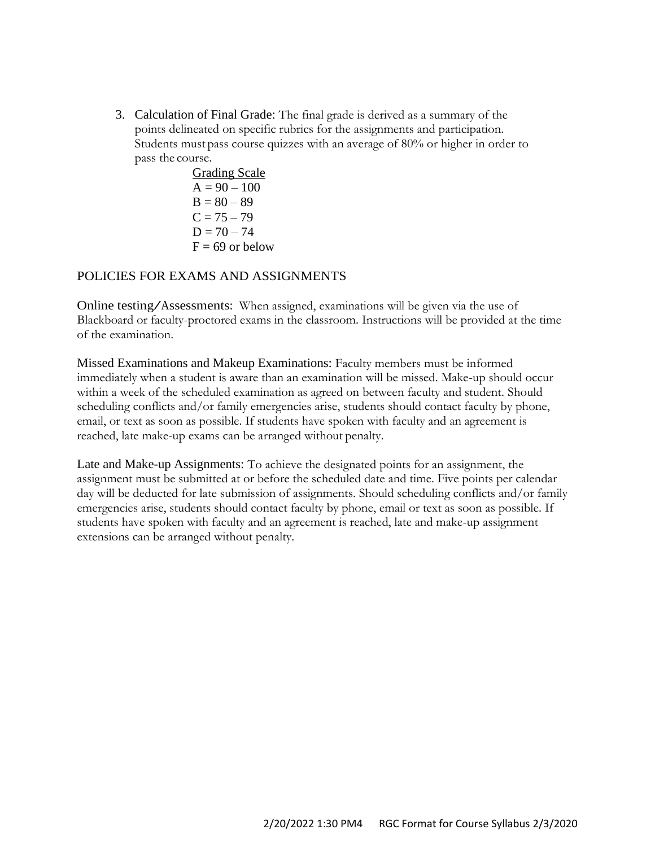3. Calculation of Final Grade: The final grade is derived as a summary of the points delineated on specific rubrics for the assignments and participation. Students must pass course quizzes with an average of 80% or higher in order to pass the course.

> Grading Scale  $A = 90 - 100$  $B = 80 - 89$  $C = 75 - 79$  $D = 70 - 74$  $F = 69$  or below

# POLICIES FOR EXAMS AND ASSIGNMENTS

Online testing/Assessments: When assigned, examinations will be given via the use of Blackboard or faculty-proctored exams in the classroom. Instructions will be provided at the time of the examination.

Missed Examinations and Makeup Examinations: Faculty members must be informed immediately when a student is aware than an examination will be missed. Make-up should occur within a week of the scheduled examination as agreed on between faculty and student. Should scheduling conflicts and/or family emergencies arise, students should contact faculty by phone, email, or text as soon as possible. If students have spoken with faculty and an agreement is reached, late make-up exams can be arranged without penalty.

Late and Make-up Assignments: To achieve the designated points for an assignment, the assignment must be submitted at or before the scheduled date and time. Five points per calendar day will be deducted for late submission of assignments. Should scheduling conflicts and/or family emergencies arise, students should contact faculty by phone, email or text as soon as possible. If students have spoken with faculty and an agreement is reached, late and make-up assignment extensions can be arranged without penalty.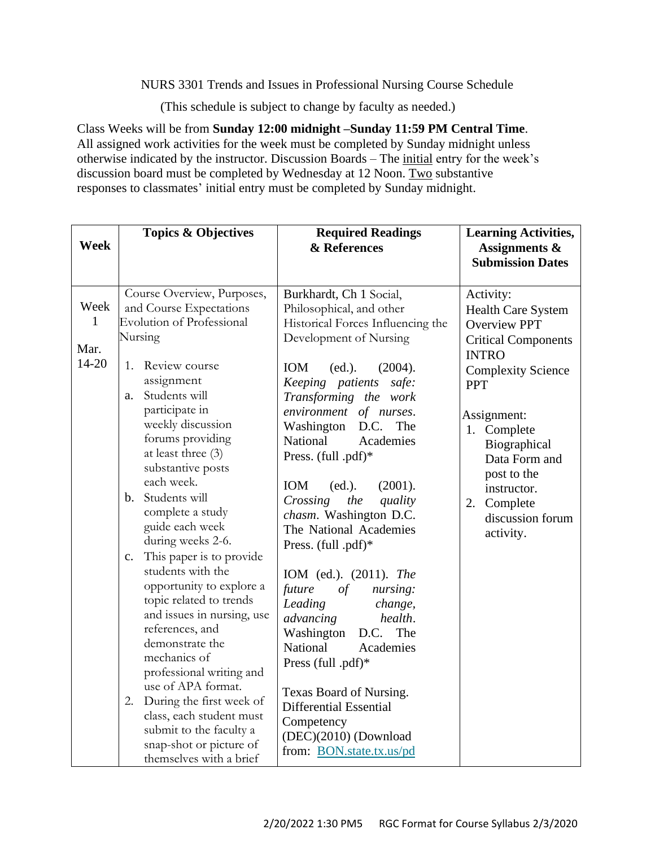NURS 3301 Trends and Issues in Professional Nursing Course Schedule

(This schedule is subject to change by faculty as needed.)

Class Weeks will be from **Sunday 12:00 midnight –Sunday 11:59 PM Central Time**. All assigned work activities for the week must be completed by Sunday midnight unless otherwise indicated by the instructor. Discussion Boards – The initial entry for the week's discussion board must be completed by Wednesday at 12 Noon. Two substantive responses to classmates' initial entry must be completed by Sunday midnight.

| <b>Week</b>                               | <b>Topics &amp; Objectives</b>                                                                                                                                                                                                                                                                                                                                                                                                                                                                                                                                                                                                                                                                              | <b>Required Readings</b><br>& References                                                                                                                                                                                                                                                                                                                                                                                                                                                                                                                                                                                                                                                                   | <b>Learning Activities,</b><br><b>Assignments &amp;</b><br><b>Submission Dates</b>                                                                                                                                                                                                           |
|-------------------------------------------|-------------------------------------------------------------------------------------------------------------------------------------------------------------------------------------------------------------------------------------------------------------------------------------------------------------------------------------------------------------------------------------------------------------------------------------------------------------------------------------------------------------------------------------------------------------------------------------------------------------------------------------------------------------------------------------------------------------|------------------------------------------------------------------------------------------------------------------------------------------------------------------------------------------------------------------------------------------------------------------------------------------------------------------------------------------------------------------------------------------------------------------------------------------------------------------------------------------------------------------------------------------------------------------------------------------------------------------------------------------------------------------------------------------------------------|----------------------------------------------------------------------------------------------------------------------------------------------------------------------------------------------------------------------------------------------------------------------------------------------|
| Week<br>$\mathbf{1}$<br>Mar.<br>$14 - 20$ | Course Overview, Purposes,<br>and Course Expectations<br><b>Evolution of Professional</b><br>Nursing<br>1. Review course<br>assignment<br>Students will<br>a.<br>participate in<br>weekly discussion<br>forums providing<br>at least three (3)<br>substantive posts<br>each week.<br>b. Students will<br>complete a study<br>guide each week<br>during weeks 2-6.<br>This paper is to provide<br>c.<br>students with the<br>opportunity to explore a<br>topic related to trends<br>and issues in nursing, use<br>references, and<br>demonstrate the<br>mechanics of<br>professional writing and<br>use of APA format.<br>2. During the first week of<br>class, each student must<br>submit to the faculty a | Burkhardt, Ch 1 Social,<br>Philosophical, and other<br>Historical Forces Influencing the<br>Development of Nursing<br>IOM<br>(ed.).<br>(2004).<br>Keeping patients<br>safe:<br>Transforming the work<br>environment of nurses.<br>D.C.<br>The<br>Washington<br>National<br>Academies<br>Press. (full .pdf)*<br>(2001).<br>IOM<br>(ed.).<br>Crossing<br>the<br>quality<br>chasm. Washington D.C.<br>The National Academies<br>Press. (full .pdf)*<br>IOM (ed.). (2011). The<br>of<br>future<br>nursing:<br>Leading<br>change,<br>advancing<br>health.<br>Washington<br>D.C.<br>The<br>National<br>Academies<br>Press (full .pdf)*<br>Texas Board of Nursing.<br><b>Differential Essential</b><br>Competency | Activity:<br>Health Care System<br><b>Overview PPT</b><br><b>Critical Components</b><br><b>INTRO</b><br><b>Complexity Science</b><br><b>PPT</b><br>Assignment:<br>1. Complete<br>Biographical<br>Data Form and<br>post to the<br>instructor.<br>2. Complete<br>discussion forum<br>activity. |
|                                           | snap-shot or picture of<br>themselves with a brief                                                                                                                                                                                                                                                                                                                                                                                                                                                                                                                                                                                                                                                          | (DEC)(2010) (Download<br>from: BON.state.tx.us/pd                                                                                                                                                                                                                                                                                                                                                                                                                                                                                                                                                                                                                                                          |                                                                                                                                                                                                                                                                                              |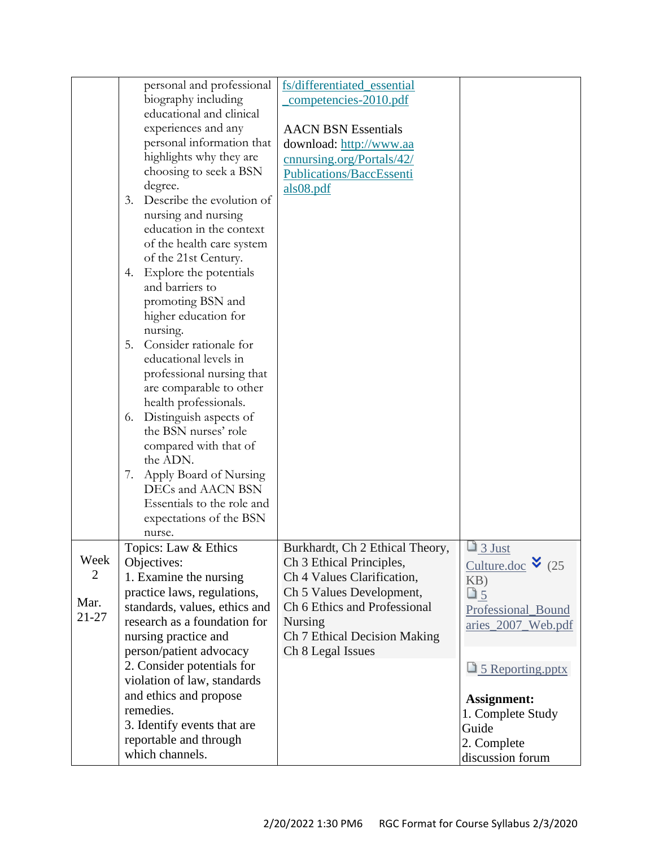|       | personal and professional       | fs/differentiated_essential     |                            |
|-------|---------------------------------|---------------------------------|----------------------------|
|       | biography including             | competencies-2010.pdf           |                            |
|       | educational and clinical        |                                 |                            |
|       | experiences and any             | <b>AACN BSN Essentials</b>      |                            |
|       | personal information that       | download: http://www.aa         |                            |
|       | highlights why they are         |                                 |                            |
|       | choosing to seek a BSN          | cnnursing.org/Portals/42/       |                            |
|       | degree.                         | Publications/BaccEssenti        |                            |
|       | Describe the evolution of<br>3. | als08.pdf                       |                            |
|       |                                 |                                 |                            |
|       | nursing and nursing             |                                 |                            |
|       | education in the context        |                                 |                            |
|       | of the health care system       |                                 |                            |
|       | of the 21st Century.            |                                 |                            |
|       | 4. Explore the potentials       |                                 |                            |
|       | and barriers to                 |                                 |                            |
|       | promoting BSN and               |                                 |                            |
|       | higher education for            |                                 |                            |
|       | nursing.                        |                                 |                            |
|       | Consider rationale for<br>5.    |                                 |                            |
|       | educational levels in           |                                 |                            |
|       | professional nursing that       |                                 |                            |
|       | are comparable to other         |                                 |                            |
|       | health professionals.           |                                 |                            |
|       | Distinguish aspects of<br>6.    |                                 |                            |
|       | the BSN nurses' role            |                                 |                            |
|       | compared with that of           |                                 |                            |
|       | the ADN.                        |                                 |                            |
|       | Apply Board of Nursing<br>7.    |                                 |                            |
|       | DECs and AACN BSN               |                                 |                            |
|       | Essentials to the role and      |                                 |                            |
|       | expectations of the BSN         |                                 |                            |
|       | nurse.                          |                                 |                            |
|       | Topics: Law & Ethics            | Burkhardt, Ch 2 Ethical Theory, | $\Box$ 3 Just              |
| Week  | Objectives:                     | Ch 3 Ethical Principles,        | Culture.doc $\bullet$ (25) |
| 2     | 1. Examine the nursing          | Ch 4 Values Clarification,      | KB)                        |
|       | practice laws, regulations,     | Ch 5 Values Development,        | $\Box$ 5                   |
| Mar.  | standards, values, ethics and   | Ch 6 Ethics and Professional    | Professional_Bound         |
| 21-27 | research as a foundation for    | <b>Nursing</b>                  | aries_2007_Web.pdf         |
|       | nursing practice and            | Ch 7 Ethical Decision Making    |                            |
|       | person/patient advocacy         | Ch 8 Legal Issues               |                            |
|       | 2. Consider potentials for      |                                 |                            |
|       | violation of law, standards     |                                 | 5 Reporting.pptx           |
|       | and ethics and propose          |                                 |                            |
|       | remedies.                       |                                 | <b>Assignment:</b>         |
|       | 3. Identify events that are     |                                 | 1. Complete Study          |
|       | reportable and through          |                                 | Guide                      |
|       | which channels.                 |                                 | 2. Complete                |
|       |                                 |                                 | discussion forum           |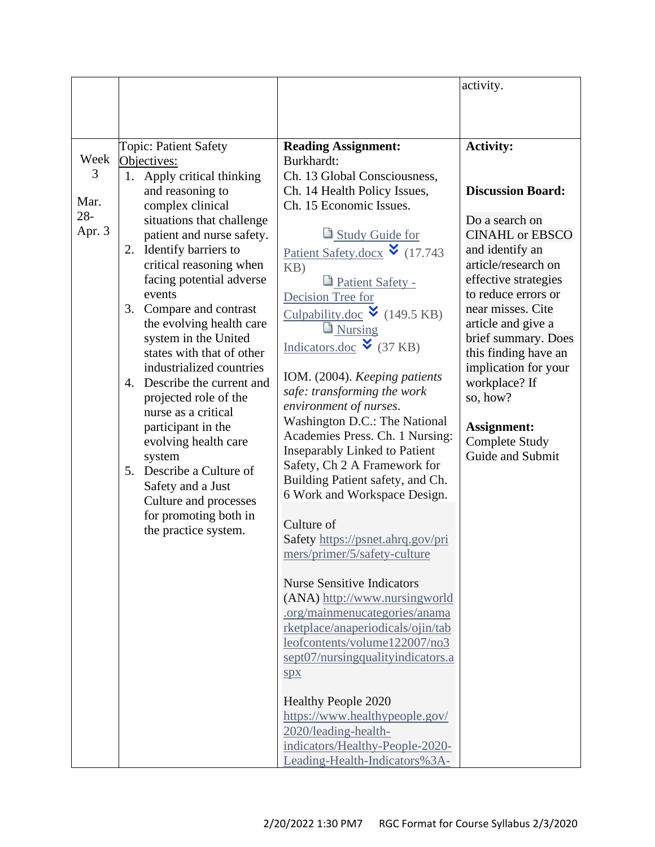|        |    |                                                   |                                                                      | activity.                                   |
|--------|----|---------------------------------------------------|----------------------------------------------------------------------|---------------------------------------------|
|        |    |                                                   |                                                                      |                                             |
|        |    |                                                   |                                                                      |                                             |
|        |    |                                                   |                                                                      |                                             |
| Week   |    | Topic: Patient Safety                             | <b>Reading Assignment:</b><br>Burkhardt:                             | <b>Activity:</b>                            |
| 3      | 1. | Objectives:<br>Apply critical thinking            | Ch. 13 Global Consciousness,                                         |                                             |
|        |    | and reasoning to                                  | Ch. 14 Health Policy Issues,                                         | <b>Discussion Board:</b>                    |
| Mar.   |    | complex clinical                                  | Ch. 15 Economic Issues.                                              |                                             |
| $28 -$ |    | situations that challenge                         |                                                                      | Do a search on                              |
| Apr. 3 |    | patient and nurse safety.                         | Study Guide for                                                      | <b>CINAHL or EBSCO</b>                      |
|        | 2. | Identify barriers to                              | Patient Safety.docx $\bullet$ (17.743)                               | and identify an                             |
|        |    | critical reasoning when                           | KB)                                                                  | article/research on                         |
|        |    | facing potential adverse                          | Patient Safety -                                                     | effective strategies                        |
|        |    | events                                            | Decision Tree for                                                    | to reduce errors or                         |
|        | 3. | Compare and contrast                              | Culpability.doc $\check{v}$ (149.5 KB)                               | near misses. Cite                           |
|        |    | the evolving health care                          | Nursing                                                              | article and give a                          |
|        |    | system in the United<br>states with that of other | Indicators.doc $\blacktriangleright$ (37 KB)                         | brief summary. Does<br>this finding have an |
|        |    | industrialized countries                          |                                                                      | implication for your                        |
|        |    | 4. Describe the current and                       | IOM. (2004). Keeping patients                                        | workplace? If                               |
|        |    | projected role of the                             | safe: transforming the work                                          | so, how?                                    |
|        |    | nurse as a critical                               | environment of nurses.                                               |                                             |
|        |    | participant in the                                | Washington D.C.: The National                                        | <b>Assignment:</b>                          |
|        |    | evolving health care                              | Academies Press. Ch. 1 Nursing:                                      | <b>Complete Study</b>                       |
|        |    | system                                            | <b>Inseparably Linked to Patient</b><br>Safety, Ch 2 A Framework for | Guide and Submit                            |
|        |    | 5. Describe a Culture of                          | Building Patient safety, and Ch.                                     |                                             |
|        |    | Safety and a Just                                 | 6 Work and Workspace Design.                                         |                                             |
|        |    | Culture and processes                             |                                                                      |                                             |
|        |    | for promoting both in<br>the practice system.     | Culture of                                                           |                                             |
|        |    |                                                   | Safety https://psnet.ahrq.gov/pri                                    |                                             |
|        |    |                                                   | mers/primer/5/safety-culture                                         |                                             |
|        |    |                                                   |                                                                      |                                             |
|        |    |                                                   | <b>Nurse Sensitive Indicators</b>                                    |                                             |
|        |    |                                                   | (ANA) http://www.nursingworld<br>.org/mainmenucategories/anama       |                                             |
|        |    |                                                   | rketplace/anaperiodicals/ojin/tab                                    |                                             |
|        |    |                                                   | leofcontents/volume122007/no3                                        |                                             |
|        |    |                                                   | sept07/nursingqualityindicators.a                                    |                                             |
|        |    |                                                   | Spx                                                                  |                                             |
|        |    |                                                   |                                                                      |                                             |
|        |    |                                                   | <b>Healthy People 2020</b>                                           |                                             |
|        |    |                                                   | https://www.healthypeople.gov/                                       |                                             |
|        |    |                                                   | 2020/leading-health-                                                 |                                             |
|        |    |                                                   | indicators/Healthy-People-2020-                                      |                                             |
|        |    |                                                   | Leading-Health-Indicators%3A-                                        |                                             |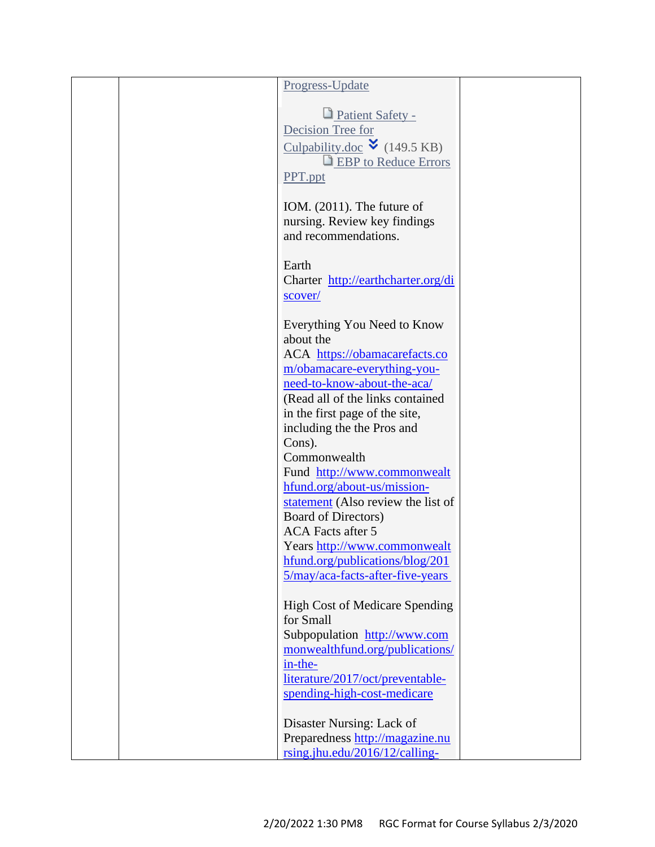|  | Progress-Update                                                     |  |
|--|---------------------------------------------------------------------|--|
|  |                                                                     |  |
|  | Patient Safety -                                                    |  |
|  | Decision Tree for                                                   |  |
|  | Culpability.doc $\check{v}$ (149.5 KB)                              |  |
|  | <b>EBP</b> to Reduce Errors                                         |  |
|  | PPT.ppt                                                             |  |
|  | IOM. $(2011)$ . The future of                                       |  |
|  | nursing. Review key findings                                        |  |
|  | and recommendations.                                                |  |
|  |                                                                     |  |
|  | Earth                                                               |  |
|  | Charter http://earthcharter.org/di                                  |  |
|  | scover/                                                             |  |
|  |                                                                     |  |
|  | Everything You Need to Know                                         |  |
|  | about the                                                           |  |
|  | ACA https://obamacarefacts.co                                       |  |
|  | m/obamacare-everything-you-<br>need-to-know-about-the-aca/          |  |
|  | (Read all of the links contained)                                   |  |
|  | in the first page of the site,                                      |  |
|  | including the the Pros and                                          |  |
|  | Cons).                                                              |  |
|  | Commonwealth                                                        |  |
|  | Fund http://www.commonwealt                                         |  |
|  | hfund.org/about-us/mission-                                         |  |
|  | statement (Also review the list of                                  |  |
|  | <b>Board of Directors)</b>                                          |  |
|  | <b>ACA</b> Facts after 5                                            |  |
|  | Years http://www.commonwealt                                        |  |
|  | hfund.org/publications/blog/201<br>5/may/aca-facts-after-five-years |  |
|  |                                                                     |  |
|  | High Cost of Medicare Spending                                      |  |
|  | for Small                                                           |  |
|  | Subpopulation http://www.com                                        |  |
|  | monwealthfund.org/publications/                                     |  |
|  | in-the-                                                             |  |
|  | literature/2017/oct/preventable-                                    |  |
|  | spending-high-cost-medicare                                         |  |
|  |                                                                     |  |
|  | Disaster Nursing: Lack of                                           |  |
|  | Preparedness http://magazine.nu<br>rsing.jhu.edu/2016/12/calling-   |  |
|  |                                                                     |  |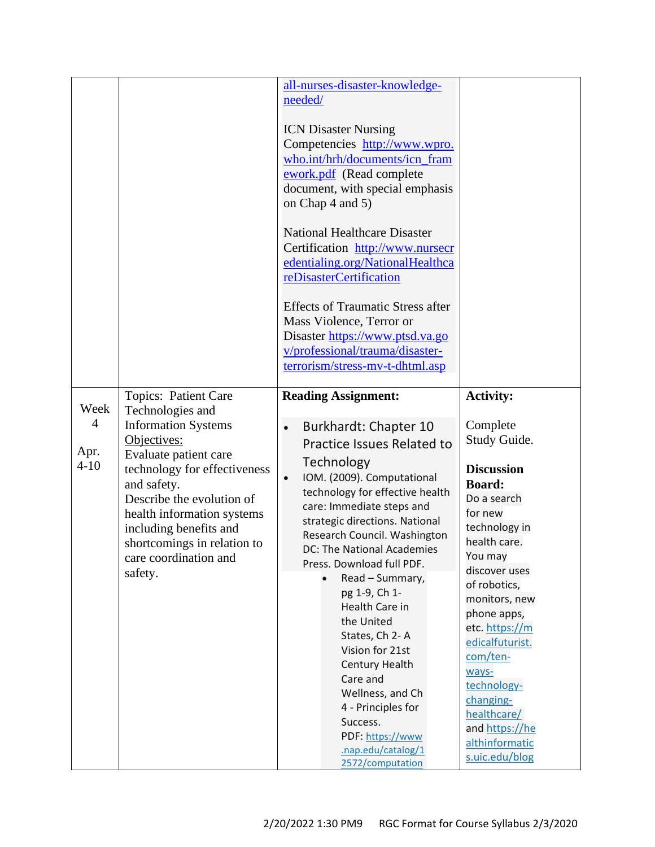|                                            |                                                                                                                                                                                                                                                                                                                       | all-nurses-disaster-knowledge-<br>needed/<br><b>ICN Disaster Nursing</b><br>Competencies http://www.wpro.<br>who.int/hrh/documents/icn_fram<br>ework.pdf (Read complete<br>document, with special emphasis<br>on Chap 4 and 5)<br><b>National Healthcare Disaster</b><br>Certification http://www.nursecr<br>edentialing.org/NationalHealthca<br>reDisasterCertification<br><b>Effects of Traumatic Stress after</b><br>Mass Violence, Terror or<br>Disaster https://www.ptsd.va.go<br>v/professional/trauma/disaster-<br>terrorism/stress-mv-t-dhtml.asp                                          |                                                                                                                                                                                                                                                                                                                                                                                      |
|--------------------------------------------|-----------------------------------------------------------------------------------------------------------------------------------------------------------------------------------------------------------------------------------------------------------------------------------------------------------------------|----------------------------------------------------------------------------------------------------------------------------------------------------------------------------------------------------------------------------------------------------------------------------------------------------------------------------------------------------------------------------------------------------------------------------------------------------------------------------------------------------------------------------------------------------------------------------------------------------|--------------------------------------------------------------------------------------------------------------------------------------------------------------------------------------------------------------------------------------------------------------------------------------------------------------------------------------------------------------------------------------|
| Week<br>$\overline{4}$<br>Apr.<br>$4 - 10$ | Topics: Patient Care<br>Technologies and<br><b>Information Systems</b><br>Objectives:<br>Evaluate patient care<br>technology for effectiveness<br>and safety.<br>Describe the evolution of<br>health information systems<br>including benefits and<br>shortcomings in relation to<br>care coordination and<br>safety. | <b>Reading Assignment:</b><br>Burkhardt: Chapter 10<br>Practice Issues Related to<br>Technology<br>IOM. (2009). Computational<br>$\bullet$<br>technology for effective health<br>care: Immediate steps and<br>strategic directions. National<br>Research Council. Washington<br>DC: The National Academies<br>Press. Download full PDF.<br>Read - Summary,<br>pg 1-9, Ch 1-<br>Health Care in<br>the United<br>States, Ch 2-A<br>Vision for 21st<br>Century Health<br>Care and<br>Wellness, and Ch<br>4 - Principles for<br>Success.<br>PDF: https://www<br>.nap.edu/catalog/1<br>2572/computation | <b>Activity:</b><br>Complete<br>Study Guide.<br><b>Discussion</b><br><b>Board:</b><br>Do a search<br>for new<br>technology in<br>health care.<br>You may<br>discover uses<br>of robotics,<br>monitors, new<br>phone apps,<br>etc. https://m<br>edicalfuturist.<br>com/ten-<br>ways-<br>technology-<br>changing-<br>healthcare/<br>and https://he<br>althinformatic<br>s.uic.edu/blog |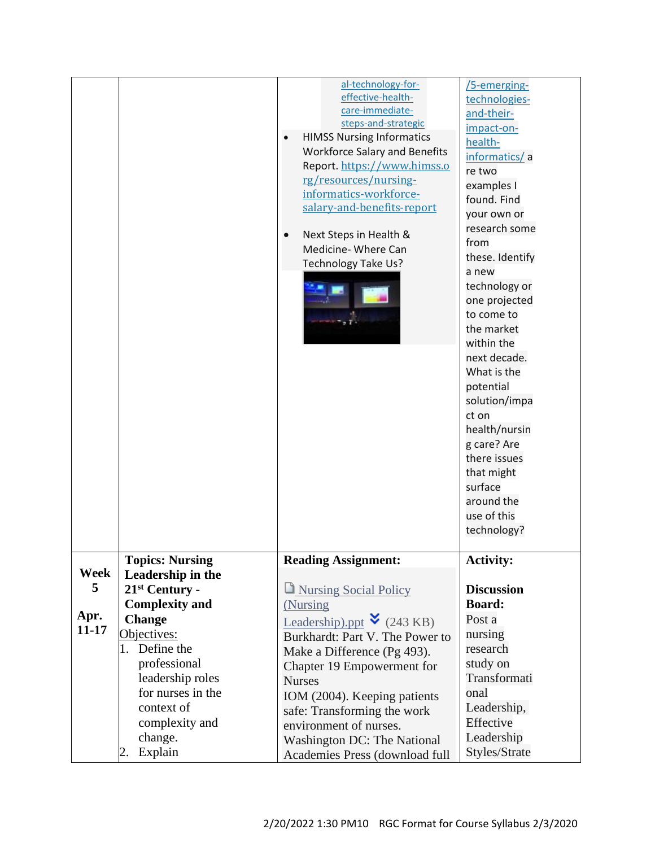|           |                            | al-technology-for-<br>effective-health-<br>care-immediate-<br>steps-and-strategic<br><b>HIMSS Nursing Informatics</b><br><b>Workforce Salary and Benefits</b><br>Report. https://www.himss.o<br>rg/resources/nursing-<br>informatics-workforce-<br>salary-and-benefits-report<br>Next Steps in Health &<br>Medicine- Where Can<br>Technology Take Us? | /5-emerging-<br>technologies-<br>and-their-<br>impact-on-<br>health-<br>informatics/a<br>re two<br>examples I<br>found. Find<br>your own or<br>research some<br>from<br>these. Identify<br>a new<br>technology or<br>one projected<br>to come to<br>the market<br>within the<br>next decade.<br>What is the<br>potential<br>solution/impa<br>ct on<br>health/nursin<br>g care? Are<br>there issues<br>that might<br>surface<br>around the<br>use of this<br>technology? |
|-----------|----------------------------|-------------------------------------------------------------------------------------------------------------------------------------------------------------------------------------------------------------------------------------------------------------------------------------------------------------------------------------------------------|-------------------------------------------------------------------------------------------------------------------------------------------------------------------------------------------------------------------------------------------------------------------------------------------------------------------------------------------------------------------------------------------------------------------------------------------------------------------------|
|           | <b>Topics: Nursing</b>     | <b>Reading Assignment:</b>                                                                                                                                                                                                                                                                                                                            | <b>Activity:</b>                                                                                                                                                                                                                                                                                                                                                                                                                                                        |
| Week      | Leadership in the          |                                                                                                                                                                                                                                                                                                                                                       |                                                                                                                                                                                                                                                                                                                                                                                                                                                                         |
| 5         | 21 <sup>st</sup> Century - | Nursing Social Policy                                                                                                                                                                                                                                                                                                                                 | <b>Discussion</b>                                                                                                                                                                                                                                                                                                                                                                                                                                                       |
|           | <b>Complexity and</b>      | (Nursing)                                                                                                                                                                                                                                                                                                                                             | <b>Board:</b>                                                                                                                                                                                                                                                                                                                                                                                                                                                           |
| Apr.      | <b>Change</b>              | <b>Leadership</b> ).ppt $\bullet$ (243 KB)                                                                                                                                                                                                                                                                                                            | Post a                                                                                                                                                                                                                                                                                                                                                                                                                                                                  |
| $11 - 17$ | Objectives:                | Burkhardt: Part V. The Power to                                                                                                                                                                                                                                                                                                                       | nursing                                                                                                                                                                                                                                                                                                                                                                                                                                                                 |
|           | 1. Define the              | Make a Difference (Pg 493).                                                                                                                                                                                                                                                                                                                           | research                                                                                                                                                                                                                                                                                                                                                                                                                                                                |
|           | professional               | Chapter 19 Empowerment for                                                                                                                                                                                                                                                                                                                            | study on                                                                                                                                                                                                                                                                                                                                                                                                                                                                |
|           | leadership roles           | <b>Nurses</b>                                                                                                                                                                                                                                                                                                                                         | Transformati                                                                                                                                                                                                                                                                                                                                                                                                                                                            |
|           | for nurses in the          | IOM (2004). Keeping patients                                                                                                                                                                                                                                                                                                                          | onal                                                                                                                                                                                                                                                                                                                                                                                                                                                                    |
|           | context of                 | safe: Transforming the work                                                                                                                                                                                                                                                                                                                           | Leadership,                                                                                                                                                                                                                                                                                                                                                                                                                                                             |
|           | complexity and             | environment of nurses.                                                                                                                                                                                                                                                                                                                                | Effective                                                                                                                                                                                                                                                                                                                                                                                                                                                               |
|           | change.                    | <b>Washington DC: The National</b>                                                                                                                                                                                                                                                                                                                    | Leadership                                                                                                                                                                                                                                                                                                                                                                                                                                                              |
|           | Explain<br>2.              | Academies Press (download full                                                                                                                                                                                                                                                                                                                        | Styles/Strate                                                                                                                                                                                                                                                                                                                                                                                                                                                           |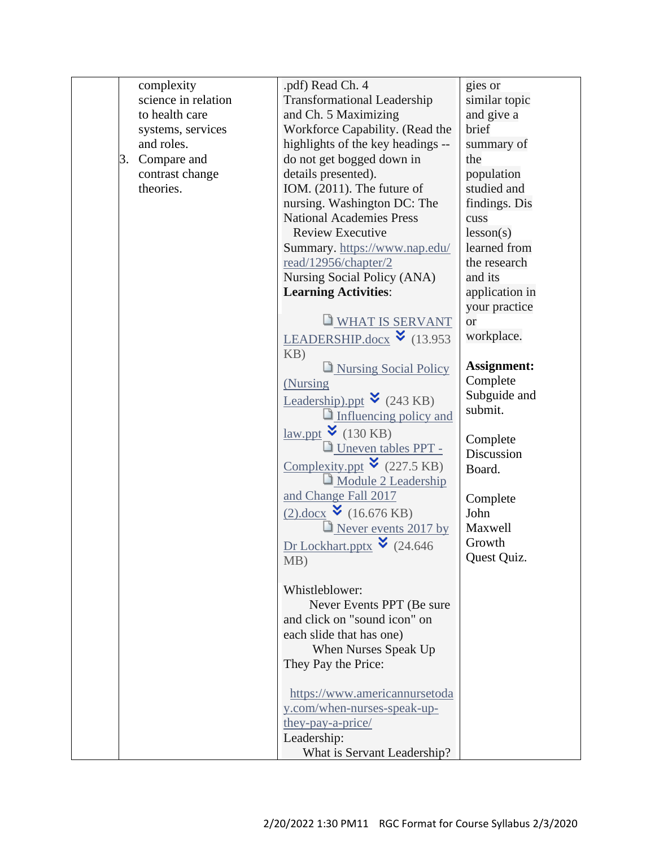| complexity          | .pdf) Read Ch. 4                                          | gies or            |
|---------------------|-----------------------------------------------------------|--------------------|
| science in relation | <b>Transformational Leadership</b>                        | similar topic      |
| to health care      | and Ch. 5 Maximizing                                      | and give a         |
| systems, services   | Workforce Capability. (Read the                           | brief              |
| and roles.          | highlights of the key headings --                         | summary of         |
| Compare and<br>3.   | do not get bogged down in                                 | the                |
| contrast change     | details presented).                                       | population         |
| theories.           | IOM. (2011). The future of                                | studied and        |
|                     | nursing. Washington DC: The                               | findings. Dis      |
|                     | <b>National Academies Press</b>                           | cuss               |
|                     | <b>Review Executive</b>                                   | lesson(s)          |
|                     | Summary. https://www.nap.edu/                             | learned from       |
|                     | read/12956/chapter/2                                      | the research       |
|                     | Nursing Social Policy (ANA)                               | and its            |
|                     | <b>Learning Activities:</b>                               | application in     |
|                     |                                                           | your practice      |
|                     | WHAT IS SERVANT                                           | <sub>or</sub>      |
|                     | LEADERSHIP.docx $\check{\bullet}$ (13.953)                | workplace.         |
|                     | KB)                                                       |                    |
|                     | Nursing Social Policy                                     | <b>Assignment:</b> |
|                     | (Nursing                                                  | Complete           |
|                     | Leadership).ppt $\bullet$ (243 KB)                        | Subguide and       |
|                     | Influencing policy and                                    | submit.            |
|                     | $\frac{\text{law.ppt}}{\text{w}}$ (130 KB)                |                    |
|                     | Uneven tables PPT -                                       | Complete           |
|                     | Complexity.ppt $\bullet$ (227.5 KB)                       | Discussion         |
|                     | Module 2 Leadership                                       | Board.             |
|                     | and Change Fall 2017                                      |                    |
|                     | $(2).$ docx $(16.676 \text{ KB})$                         | Complete<br>John   |
|                     |                                                           | Maxwell            |
|                     | Never events 2017 by                                      | Growth             |
|                     | Dr Lockhart.pptx $\bullet$ (24.646)                       | Quest Quiz.        |
|                     | MB)                                                       |                    |
|                     | Whistleblower:                                            |                    |
|                     |                                                           |                    |
|                     | Never Events PPT (Be sure<br>and click on "sound icon" on |                    |
|                     | each slide that has one)                                  |                    |
|                     | When Nurses Speak Up                                      |                    |
|                     | They Pay the Price:                                       |                    |
|                     |                                                           |                    |
|                     | https://www.americannursetoda                             |                    |
|                     | y.com/when-nurses-speak-up-                               |                    |
|                     | they-pay-a-price/                                         |                    |
|                     | Leadership:                                               |                    |
|                     | What is Servant Leadership?                               |                    |
|                     |                                                           |                    |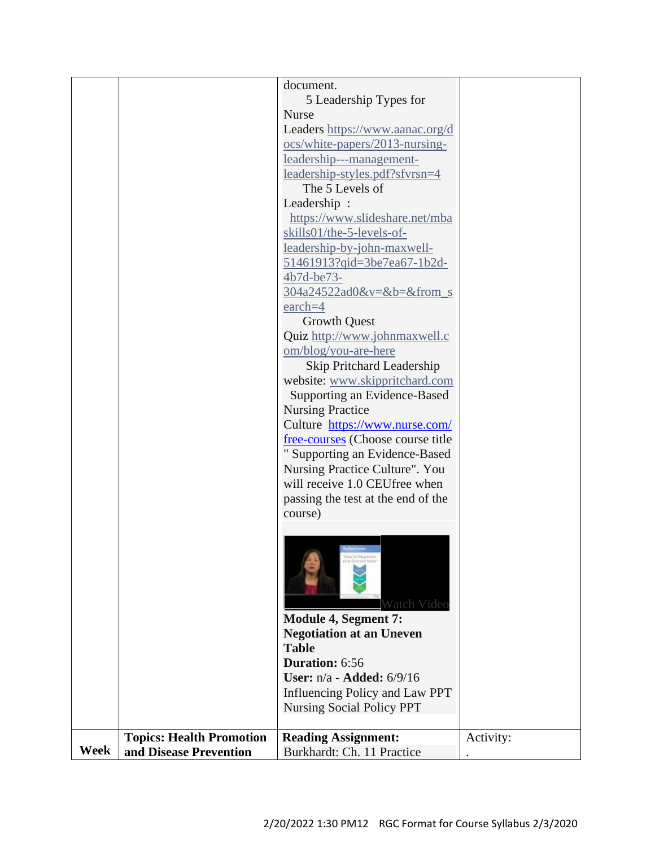|      |                                 | document.                          |           |
|------|---------------------------------|------------------------------------|-----------|
|      |                                 |                                    |           |
|      |                                 | 5 Leadership Types for             |           |
|      |                                 | <b>Nurse</b>                       |           |
|      |                                 | Leaders https://www.aanac.org/d    |           |
|      |                                 | ocs/white-papers/2013-nursing-     |           |
|      |                                 | leadership---management-           |           |
|      |                                 | leadership-styles.pdf?sfvrsn=4     |           |
|      |                                 | The 5 Levels of                    |           |
|      |                                 | Leadership:                        |           |
|      |                                 | https://www.slideshare.net/mba     |           |
|      |                                 | skills01/the-5-levels-of-          |           |
|      |                                 | leadership-by-john-maxwell-        |           |
|      |                                 | 51461913?gid=3be7ea67-1b2d-        |           |
|      |                                 | 4b7d-be73-                         |           |
|      |                                 | 304a24522ad0&v=&b=&from_s          |           |
|      |                                 |                                    |           |
|      |                                 | $\text{each}=4$                    |           |
|      |                                 | <b>Growth Quest</b>                |           |
|      |                                 | Quiz http://www.johnmaxwell.c      |           |
|      |                                 | om/blog/you-are-here               |           |
|      |                                 | Skip Pritchard Leadership          |           |
|      |                                 | website: www.skippritchard.com     |           |
|      |                                 | Supporting an Evidence-Based       |           |
|      |                                 | <b>Nursing Practice</b>            |           |
|      |                                 | Culture https://www.nurse.com/     |           |
|      |                                 | free-courses (Choose course title  |           |
|      |                                 | " Supporting an Evidence-Based     |           |
|      |                                 | Nursing Practice Culture". You     |           |
|      |                                 | will receive 1.0 CEU free when     |           |
|      |                                 |                                    |           |
|      |                                 | passing the test at the end of the |           |
|      |                                 | course)                            |           |
|      |                                 |                                    |           |
|      |                                 |                                    |           |
|      |                                 |                                    |           |
|      |                                 |                                    |           |
|      |                                 |                                    |           |
|      |                                 | Watch Video                        |           |
|      |                                 | Module 4, Segment 7:               |           |
|      |                                 | <b>Negotiation at an Uneven</b>    |           |
|      |                                 | <b>Table</b>                       |           |
|      |                                 | <b>Duration: 6:56</b>              |           |
|      |                                 |                                    |           |
|      |                                 | User: $n/a$ - Added: $6/9/16$      |           |
|      |                                 | Influencing Policy and Law PPT     |           |
|      |                                 | <b>Nursing Social Policy PPT</b>   |           |
|      |                                 |                                    |           |
|      | <b>Topics: Health Promotion</b> | <b>Reading Assignment:</b>         | Activity: |
| Week | and Disease Prevention          | Burkhardt: Ch. 11 Practice         |           |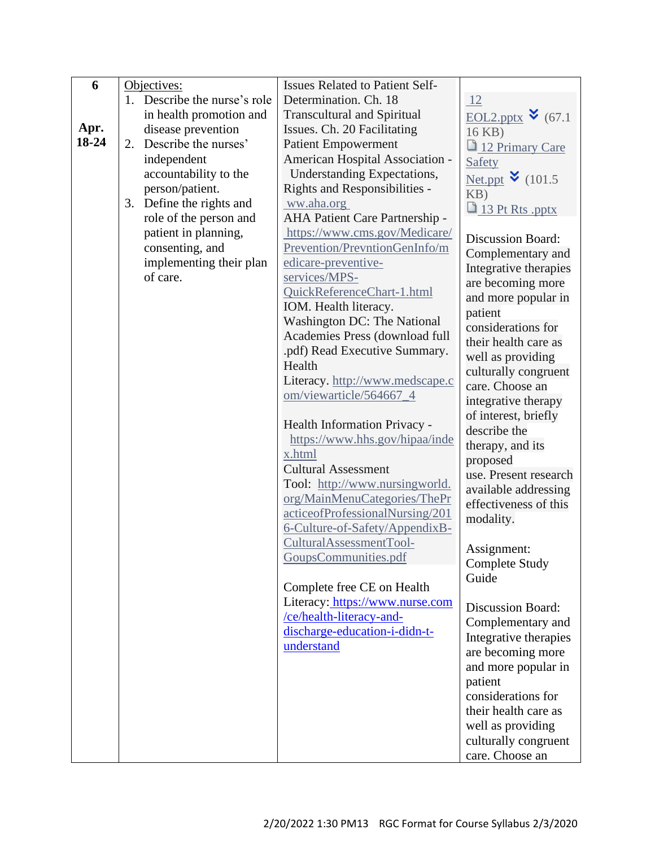| 6     | Objectives:                  | <b>Issues Related to Patient Self-</b>                      |                                   |
|-------|------------------------------|-------------------------------------------------------------|-----------------------------------|
|       | 1. Describe the nurse's role | Determination. Ch. 18                                       | 12                                |
|       | in health promotion and      | <b>Transcultural and Spiritual</b>                          | <u>EOL2.pptx</u> $\bullet$ (67.1) |
| Apr.  | disease prevention           | Issues. Ch. 20 Facilitating                                 | 16 KB)                            |
| 18-24 | 2. Describe the nurses'      | <b>Patient Empowerment</b>                                  | 12 Primary Care                   |
|       | independent                  | American Hospital Association -                             | Safety                            |
|       | accountability to the        | Understanding Expectations,                                 | Net.ppt $\vee$ (101.5)            |
|       | person/patient.              | Rights and Responsibilities -                               | KB)                               |
|       | 3. Define the rights and     | ww.aha.org                                                  | 13 Pt Rts .pptx                   |
|       | role of the person and       | AHA Patient Care Partnership -                              |                                   |
|       | patient in planning,         | https://www.cms.gov/Medicare/                               | <b>Discussion Board:</b>          |
|       | consenting, and              | Prevention/PrevntionGenInfo/m                               | Complementary and                 |
|       | implementing their plan      | edicare-preventive-                                         | Integrative therapies             |
|       | of care.                     | services/MPS-                                               | are becoming more                 |
|       |                              | QuickReferenceChart-1.html                                  | and more popular in               |
|       |                              | IOM. Health literacy.                                       | patient                           |
|       |                              | Washington DC: The National                                 | considerations for                |
|       |                              | Academies Press (download full                              | their health care as              |
|       |                              | .pdf) Read Executive Summary.                               | well as providing                 |
|       |                              | Health                                                      | culturally congruent              |
|       |                              | Literacy. http://www.medscape.c                             | care. Choose an                   |
|       |                              | om/viewarticle/564667_4                                     | integrative therapy               |
|       |                              |                                                             | of interest, briefly              |
|       |                              | Health Information Privacy -                                | describe the                      |
|       |                              | https://www.hhs.gov/hipaa/inde                              | therapy, and its                  |
|       |                              | x.html                                                      | proposed                          |
|       |                              | <b>Cultural Assessment</b>                                  | use. Present research             |
|       |                              | Tool: http://www.nursingworld.                              | available addressing              |
|       |                              | org/MainMenuCategories/ThePr                                | effectiveness of this             |
|       |                              | acticeofProfessionalNursing/201                             | modality.                         |
|       |                              | 6-Culture-of-Safety/AppendixB-                              |                                   |
|       |                              | CulturalAssessmentTool-                                     | Assignment:                       |
|       |                              | GoupsCommunities.pdf                                        | <b>Complete Study</b>             |
|       |                              |                                                             | Guide                             |
|       |                              | Complete free CE on Health                                  |                                   |
|       |                              | Literacy: https://www.nurse.com<br>/ce/health-literacy-and- | <b>Discussion Board:</b>          |
|       |                              | discharge-education-i-didn-t-                               | Complementary and                 |
|       |                              | understand                                                  | Integrative therapies             |
|       |                              |                                                             | are becoming more                 |
|       |                              |                                                             | and more popular in               |
|       |                              |                                                             | patient                           |
|       |                              |                                                             | considerations for                |
|       |                              |                                                             | their health care as              |
|       |                              |                                                             | well as providing                 |
|       |                              |                                                             | culturally congruent              |
|       |                              |                                                             | care. Choose an                   |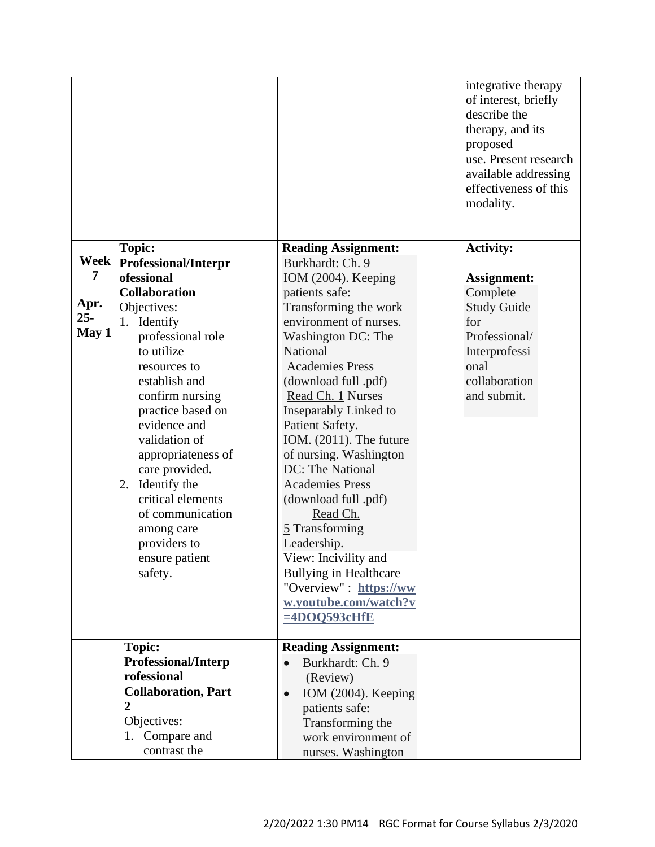|        |                            |                                         | integrative therapy<br>of interest, briefly<br>describe the<br>therapy, and its<br>proposed<br>use. Present research<br>available addressing<br>effectiveness of this<br>modality. |
|--------|----------------------------|-----------------------------------------|------------------------------------------------------------------------------------------------------------------------------------------------------------------------------------|
|        | Topic:                     | <b>Reading Assignment:</b>              | <b>Activity:</b>                                                                                                                                                                   |
| Week   | Professional/Interpr       | Burkhardt: Ch. 9                        |                                                                                                                                                                                    |
| 7      | ofessional                 | IOM (2004). Keeping                     | <b>Assignment:</b>                                                                                                                                                                 |
|        | <b>Collaboration</b>       | patients safe:                          | Complete                                                                                                                                                                           |
| Apr.   | Objectives:                | Transforming the work                   | <b>Study Guide</b>                                                                                                                                                                 |
| $25 -$ | 1. Identify                | environment of nurses.                  | for                                                                                                                                                                                |
| May 1  | professional role          | Washington DC: The                      | Professional/                                                                                                                                                                      |
|        | to utilize                 | National                                | Interprofessi                                                                                                                                                                      |
|        | resources to               | <b>Academies Press</b>                  | onal                                                                                                                                                                               |
|        | establish and              | (download full .pdf)                    | collaboration                                                                                                                                                                      |
|        | confirm nursing            | Read Ch. 1 Nurses                       | and submit.                                                                                                                                                                        |
|        | practice based on          | Inseparably Linked to                   |                                                                                                                                                                                    |
|        | evidence and               | Patient Safety.                         |                                                                                                                                                                                    |
|        | validation of              | IOM. (2011). The future                 |                                                                                                                                                                                    |
|        | appropriateness of         | of nursing. Washington                  |                                                                                                                                                                                    |
|        | care provided.             | DC: The National                        |                                                                                                                                                                                    |
|        | Identify the<br>2.         | <b>Academies Press</b>                  |                                                                                                                                                                                    |
|        | critical elements          | (download full .pdf)                    |                                                                                                                                                                                    |
|        | of communication           | Read Ch.                                |                                                                                                                                                                                    |
|        | among care                 | 5 Transforming                          |                                                                                                                                                                                    |
|        | providers to               | Leadership.                             |                                                                                                                                                                                    |
|        | ensure patient             | View: Incivility and                    |                                                                                                                                                                                    |
|        | safety.                    | <b>Bullying in Healthcare</b>           |                                                                                                                                                                                    |
|        |                            | "Overview" : https://ww                 |                                                                                                                                                                                    |
|        |                            | w.youtube.com/watch?v<br>$=4DOQ593cHfE$ |                                                                                                                                                                                    |
|        |                            |                                         |                                                                                                                                                                                    |
|        | <b>Topic:</b>              | <b>Reading Assignment:</b>              |                                                                                                                                                                                    |
|        | <b>Professional/Interp</b> | Burkhardt: Ch. 9                        |                                                                                                                                                                                    |
|        | rofessional                | (Review)                                |                                                                                                                                                                                    |
|        | <b>Collaboration, Part</b> | IOM (2004). Keeping<br>$\bullet$        |                                                                                                                                                                                    |
|        | $\overline{2}$             | patients safe:                          |                                                                                                                                                                                    |
|        | Objectives:                | Transforming the                        |                                                                                                                                                                                    |
|        | Compare and<br>1.          | work environment of                     |                                                                                                                                                                                    |
|        | contrast the               | nurses. Washington                      |                                                                                                                                                                                    |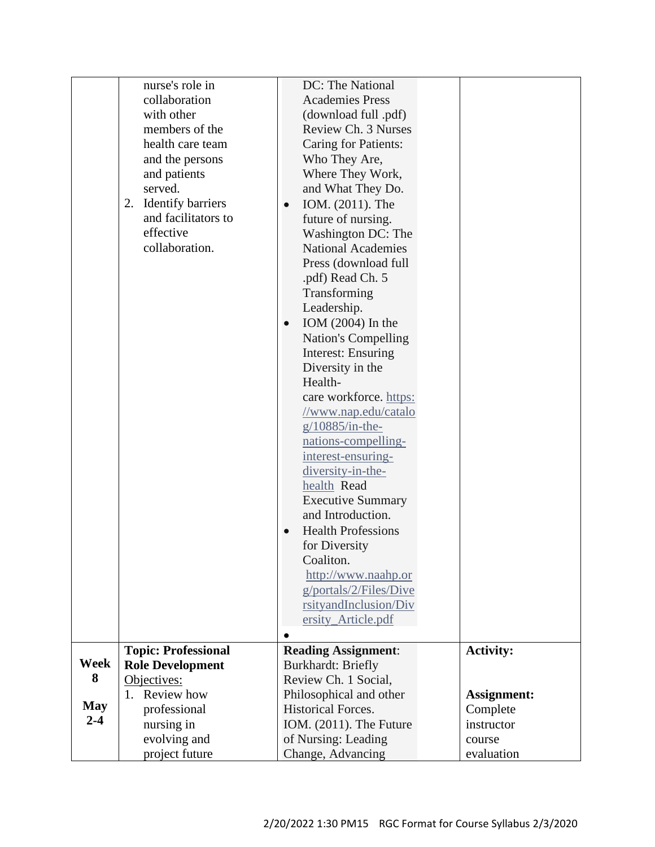|            | nurse's role in            | DC: The National                              |                    |
|------------|----------------------------|-----------------------------------------------|--------------------|
|            | collaboration              | <b>Academies Press</b>                        |                    |
|            | with other                 | (download full .pdf)                          |                    |
|            | members of the             | Review Ch. 3 Nurses                           |                    |
|            | health care team           | <b>Caring for Patients:</b>                   |                    |
|            | and the persons            | Who They Are,                                 |                    |
|            | and patients               | Where They Work,                              |                    |
|            | served.                    | and What They Do.                             |                    |
|            | 2. Identify barriers       | IOM. (2011). The<br>$\bullet$                 |                    |
|            | and facilitators to        | future of nursing.                            |                    |
|            | effective                  | Washington DC: The                            |                    |
|            | collaboration.             | <b>National Academies</b>                     |                    |
|            |                            | Press (download full                          |                    |
|            |                            | .pdf) Read Ch. 5                              |                    |
|            |                            | Transforming                                  |                    |
|            |                            | Leadership.                                   |                    |
|            |                            | IOM $(2004)$ In the<br>$\bullet$              |                    |
|            |                            | <b>Nation's Compelling</b>                    |                    |
|            |                            | <b>Interest: Ensuring</b>                     |                    |
|            |                            | Diversity in the                              |                    |
|            |                            | Health-                                       |                    |
|            |                            | care workforce. https:                        |                    |
|            |                            | //www.nap.edu/catalo                          |                    |
|            |                            | $g/10885/in-the-$                             |                    |
|            |                            |                                               |                    |
|            |                            | nations-compelling-                           |                    |
|            |                            | interest-ensuring-                            |                    |
|            |                            | diversity-in-the-<br>health Read              |                    |
|            |                            |                                               |                    |
|            |                            | <b>Executive Summary</b><br>and Introduction. |                    |
|            |                            | <b>Health Professions</b>                     |                    |
|            |                            | for Diversity                                 |                    |
|            |                            | Coaliton.                                     |                    |
|            |                            | http://www.naahp.or                           |                    |
|            |                            | g/portals/2/Files/Dive                        |                    |
|            |                            | rsityandInclusion/Div                         |                    |
|            |                            | ersity_Article.pdf                            |                    |
|            |                            |                                               |                    |
|            | <b>Topic: Professional</b> | <b>Reading Assignment:</b>                    | <b>Activity:</b>   |
| Week       | <b>Role Development</b>    | <b>Burkhardt: Briefly</b>                     |                    |
| 8          | Objectives:                | Review Ch. 1 Social,                          |                    |
|            | 1. Review how              | Philosophical and other                       | <b>Assignment:</b> |
| <b>May</b> | professional               | <b>Historical Forces.</b>                     | Complete           |
| $2 - 4$    | nursing in                 | IOM. (2011). The Future                       | instructor         |
|            | evolving and               | of Nursing: Leading                           | course             |
|            | project future             | Change, Advancing                             | evaluation         |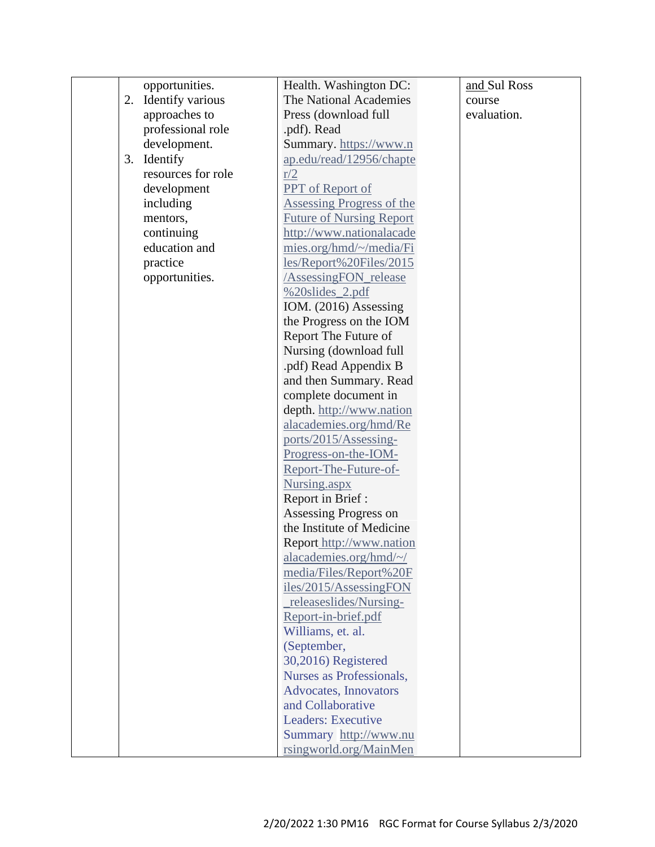|    | opportunities.     | Health. Washington DC:           | and Sul Ross |
|----|--------------------|----------------------------------|--------------|
| 2. | Identify various   | The National Academies           | course       |
|    | approaches to      | Press (download full             | evaluation.  |
|    | professional role  | .pdf). Read                      |              |
|    | development.       | Summary. https://www.n           |              |
| 3. | Identify           | ap.edu/read/12956/chapte         |              |
|    | resources for role | r/2                              |              |
|    | development        | <b>PPT</b> of Report of          |              |
|    | including          | <b>Assessing Progress of the</b> |              |
|    | mentors,           | <b>Future of Nursing Report</b>  |              |
|    | continuing         | http://www.nationalacade         |              |
|    | education and      | mies.org/hmd/~/media/Fi          |              |
|    | practice           | les/Report%20Files/2015          |              |
|    | opportunities.     | <b>AssessingFON</b> release      |              |
|    |                    | %20slides_2.pdf                  |              |
|    |                    | IOM. (2016) Assessing            |              |
|    |                    | the Progress on the IOM          |              |
|    |                    | Report The Future of             |              |
|    |                    | Nursing (download full           |              |
|    |                    | .pdf) Read Appendix B            |              |
|    |                    | and then Summary. Read           |              |
|    |                    | complete document in             |              |
|    |                    | depth. http://www.nation         |              |
|    |                    | alacademies.org/hmd/Re           |              |
|    |                    | ports/2015/Assessing-            |              |
|    |                    | Progress-on-the-IOM-             |              |
|    |                    | Report-The-Future-of-            |              |
|    |                    | Nursing.aspx                     |              |
|    |                    | Report in Brief:                 |              |
|    |                    | Assessing Progress on            |              |
|    |                    | the Institute of Medicine        |              |
|    |                    | Report_http://www.nation         |              |
|    |                    | alacademies.org/hmd/~/           |              |
|    |                    | media/Files/Report%20F           |              |
|    |                    | iles/2015/AssessingFON           |              |
|    |                    | _releaseslides/Nursing-          |              |
|    |                    | Report-in-brief.pdf              |              |
|    |                    | Williams, et. al.                |              |
|    |                    | (September,                      |              |
|    |                    | 30,2016) Registered              |              |
|    |                    | Nurses as Professionals,         |              |
|    |                    | Advocates, Innovators            |              |
|    |                    | and Collaborative                |              |
|    |                    | <b>Leaders: Executive</b>        |              |
|    |                    | Summary http://www.nu            |              |
|    |                    | rsingworld.org/MainMen           |              |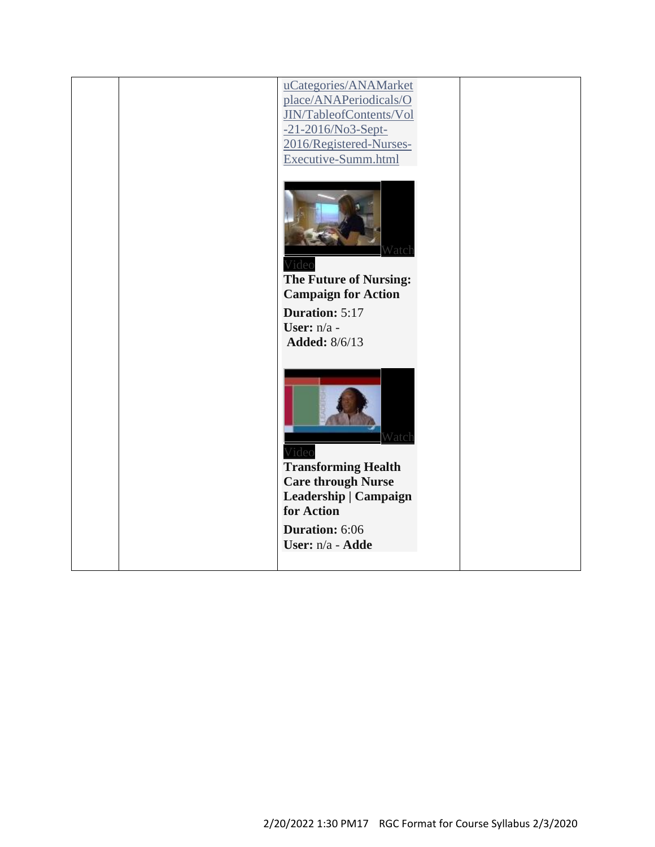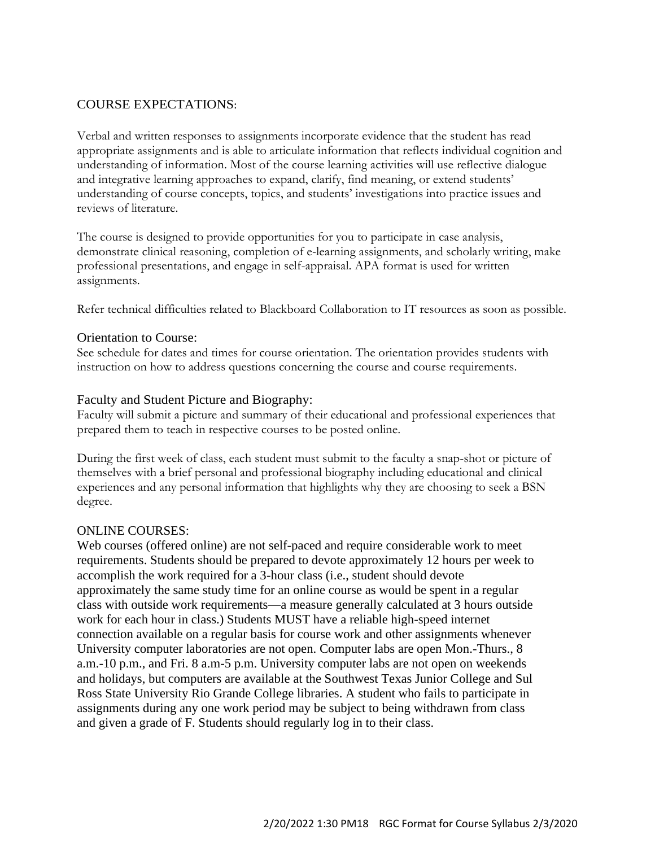# COURSE EXPECTATIONS:

Verbal and written responses to assignments incorporate evidence that the student has read appropriate assignments and is able to articulate information that reflects individual cognition and understanding of information. Most of the course learning activities will use reflective dialogue and integrative learning approaches to expand, clarify, find meaning, or extend students' understanding of course concepts, topics, and students' investigations into practice issues and reviews of literature.

The course is designed to provide opportunities for you to participate in case analysis, demonstrate clinical reasoning, completion of e-learning assignments, and scholarly writing, make professional presentations, and engage in self-appraisal. APA format is used for written assignments.

Refer technical difficulties related to Blackboard Collaboration to IT resources as soon as possible.

### Orientation to Course:

See schedule for dates and times for course orientation. The orientation provides students with instruction on how to address questions concerning the course and course requirements.

### Faculty and Student Picture and Biography:

Faculty will submit a picture and summary of their educational and professional experiences that prepared them to teach in respective courses to be posted online.

During the first week of class, each student must submit to the faculty a snap-shot or picture of themselves with a brief personal and professional biography including educational and clinical experiences and any personal information that highlights why they are choosing to seek a BSN degree.

#### ONLINE COURSES:

Web courses (offered online) are not self-paced and require considerable work to meet requirements. Students should be prepared to devote approximately 12 hours per week to accomplish the work required for a 3-hour class (i.e., student should devote approximately the same study time for an online course as would be spent in a regular class with outside work requirements—a measure generally calculated at 3 hours outside work for each hour in class.) Students MUST have a reliable high-speed internet connection available on a regular basis for course work and other assignments whenever University computer laboratories are not open. Computer labs are open Mon.-Thurs., 8 a.m.-10 p.m., and Fri. 8 a.m-5 p.m. University computer labs are not open on weekends and holidays, but computers are available at the Southwest Texas Junior College and Sul Ross State University Rio Grande College libraries. A student who fails to participate in assignments during any one work period may be subject to being withdrawn from class and given a grade of F. Students should regularly log in to their class.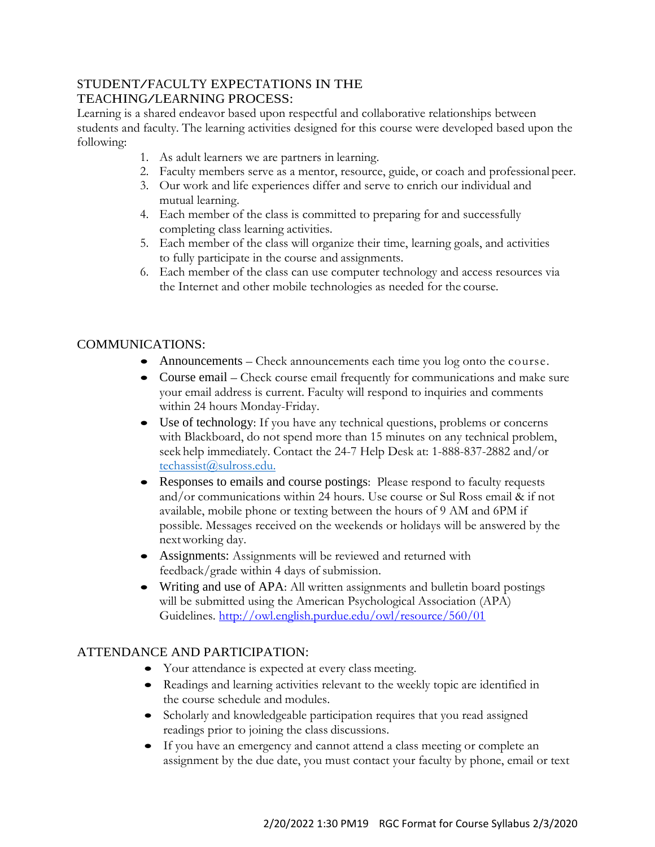# STUDENT/FACULTY EXPECTATIONS IN THE TEACHING/LEARNING PROCESS:

Learning is a shared endeavor based upon respectful and collaborative relationships between students and faculty. The learning activities designed for this course were developed based upon the following:

- 1. As adult learners we are partners in learning.
- 2. Faculty members serve as a mentor, resource, guide, or coach and professional peer.
- 3. Our work and life experiences differ and serve to enrich our individual and mutual learning.
- 4. Each member of the class is committed to preparing for and successfully completing class learning activities.
- 5. Each member of the class will organize their time, learning goals, and activities to fully participate in the course and assignments.
- 6. Each member of the class can use computer technology and access resources via the Internet and other mobile technologies as needed for the course.

# COMMUNICATIONS:

- Announcements Check announcements each time you log onto the course.
- Course email Check course email frequently for communications and make sure your email address is current. Faculty will respond to inquiries and comments within 24 hours Monday-Friday.
- Use of technology: If you have any technical questions, problems or concerns with Blackboard, do not spend more than 15 minutes on any technical problem, seek help immediately. Contact the 24-7 Help Desk at: 1-888-837-2882 and/or [techassist@sulross.edu.](mailto:techassist@sulross.edu)
- Responses to emails and course postings: Please respond to faculty requests and/or communications within 24 hours. Use course or Sul Ross email & if not available, mobile phone or texting between the hours of 9 AM and 6PM if possible. Messages received on the weekends or holidays will be answered by the nextworking day.
- Assignments: Assignments will be reviewed and returned with feedback/grade within 4 days of submission.
- Writing and use of APA: All written assignments and bulletin board postings will be submitted using the American Psychological Association (APA) Guidelines.<http://owl.english.purdue.edu/owl/resource/560/01>

# ATTENDANCE AND PARTICIPATION:

- Your attendance is expected at every class meeting.
- Readings and learning activities relevant to the weekly topic are identified in the course schedule and modules.
- Scholarly and knowledgeable participation requires that you read assigned readings prior to joining the class discussions.
- If you have an emergency and cannot attend a class meeting or complete an assignment by the due date, you must contact your faculty by phone, email or text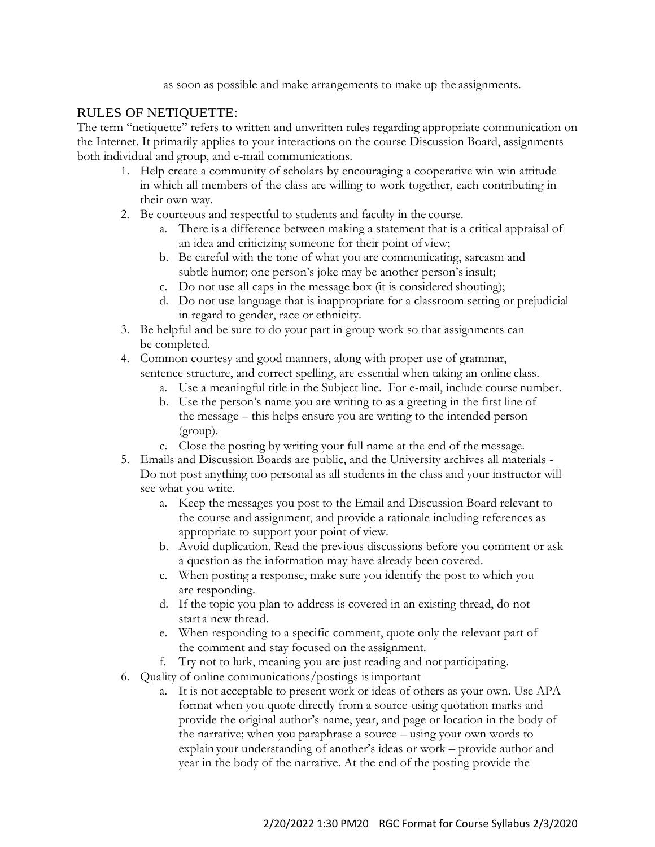as soon as possible and make arrangements to make up the assignments.

## RULES OF NETIQUETTE:

The term "netiquette" refers to written and unwritten rules regarding appropriate communication on the Internet. It primarily applies to your interactions on the course Discussion Board, assignments both individual and group, and e-mail communications.

- 1. Help create a community of scholars by encouraging a cooperative win-win attitude in which all members of the class are willing to work together, each contributing in their own way.
- 2. Be courteous and respectful to students and faculty in the course.
	- a. There is a difference between making a statement that is a critical appraisal of an idea and criticizing someone for their point of view;
	- b. Be careful with the tone of what you are communicating, sarcasm and subtle humor; one person's joke may be another person's insult;
	- c. Do not use all caps in the message box (it is considered shouting);
	- d. Do not use language that is inappropriate for a classroom setting or prejudicial in regard to gender, race or ethnicity.
- 3. Be helpful and be sure to do your part in group work so that assignments can be completed.
- 4. Common courtesy and good manners, along with proper use of grammar, sentence structure, and correct spelling, are essential when taking an online class.
	- a. Use a meaningful title in the Subject line. For e-mail, include course number.
	- b. Use the person's name you are writing to as a greeting in the first line of the message – this helps ensure you are writing to the intended person (group).
	- c. Close the posting by writing your full name at the end of the message.
- 5. Emails and Discussion Boards are public, and the University archives all materials Do not post anything too personal as all students in the class and your instructor will see what you write.
	- a. Keep the messages you post to the Email and Discussion Board relevant to the course and assignment, and provide a rationale including references as appropriate to support your point of view.
	- b. Avoid duplication. Read the previous discussions before you comment or ask a question as the information may have already been covered.
	- c. When posting a response, make sure you identify the post to which you are responding.
	- d. If the topic you plan to address is covered in an existing thread, do not start a new thread.
	- e. When responding to a specific comment, quote only the relevant part of the comment and stay focused on the assignment.
	- f. Try not to lurk, meaning you are just reading and not participating.
- 6. Quality of online communications/postings is important
	- a. It is not acceptable to present work or ideas of others as your own. Use APA format when you quote directly from a source-using quotation marks and provide the original author's name, year, and page or location in the body of the narrative; when you paraphrase a source – using your own words to explain your understanding of another's ideas or work – provide author and year in the body of the narrative. At the end of the posting provide the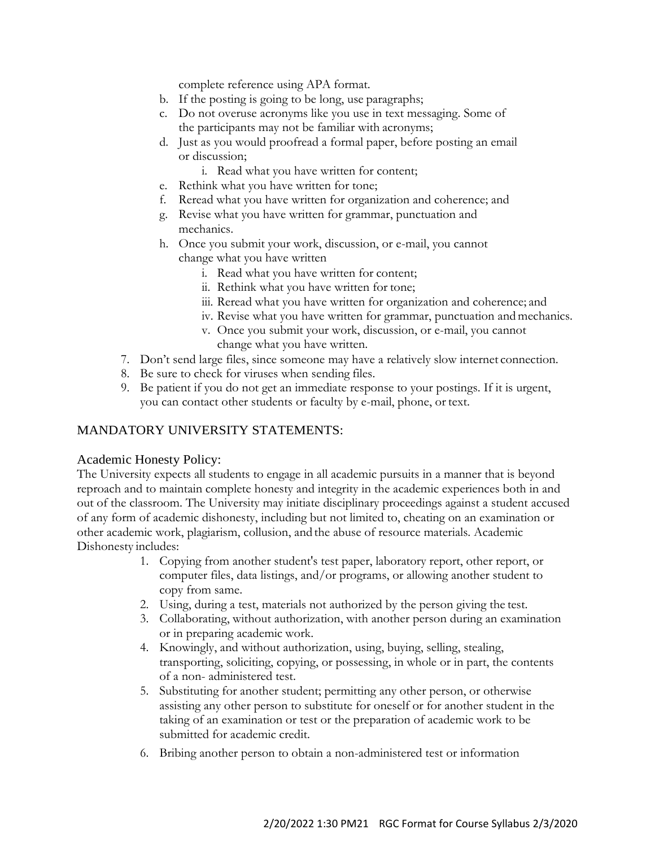complete reference using APA format.

- b. If the posting is going to be long, use paragraphs;
- c. Do not overuse acronyms like you use in text messaging. Some of the participants may not be familiar with acronyms;
- d. Just as you would proofread a formal paper, before posting an email or discussion;
	- i. Read what you have written for content;
- e. Rethink what you have written for tone;
- f. Reread what you have written for organization and coherence; and
- g. Revise what you have written for grammar, punctuation and mechanics.
- h. Once you submit your work, discussion, or e-mail, you cannot change what you have written
	- i. Read what you have written for content;
	- ii. Rethink what you have written for tone;
	- iii. Reread what you have written for organization and coherence; and
	- iv. Revise what you have written for grammar, punctuation and mechanics.
	- v. Once you submit your work, discussion, or e-mail, you cannot change what you have written.
- 7. Don't send large files, since someone may have a relatively slow internet connection.
- 8. Be sure to check for viruses when sending files.
- 9. Be patient if you do not get an immediate response to your postings. If it is urgent, you can contact other students or faculty by e-mail, phone, or text.

## MANDATORY UNIVERSITY STATEMENTS:

#### Academic Honesty Policy:

The University expects all students to engage in all academic pursuits in a manner that is beyond reproach and to maintain complete honesty and integrity in the academic experiences both in and out of the classroom. The University may initiate disciplinary proceedings against a student accused of any form of academic dishonesty, including but not limited to, cheating on an examination or other academic work, plagiarism, collusion, and the abuse of resource materials. Academic Dishonesty includes:

- 1. Copying from another student's test paper, laboratory report, other report, or computer files, data listings, and/or programs, or allowing another student to copy from same.
- 2. Using, during a test, materials not authorized by the person giving the test.
- 3. Collaborating, without authorization, with another person during an examination or in preparing academic work.
- 4. Knowingly, and without authorization, using, buying, selling, stealing, transporting, soliciting, copying, or possessing, in whole or in part, the contents of a non- administered test.
- 5. Substituting for another student; permitting any other person, or otherwise assisting any other person to substitute for oneself or for another student in the taking of an examination or test or the preparation of academic work to be submitted for academic credit.
- 6. Bribing another person to obtain a non-administered test or information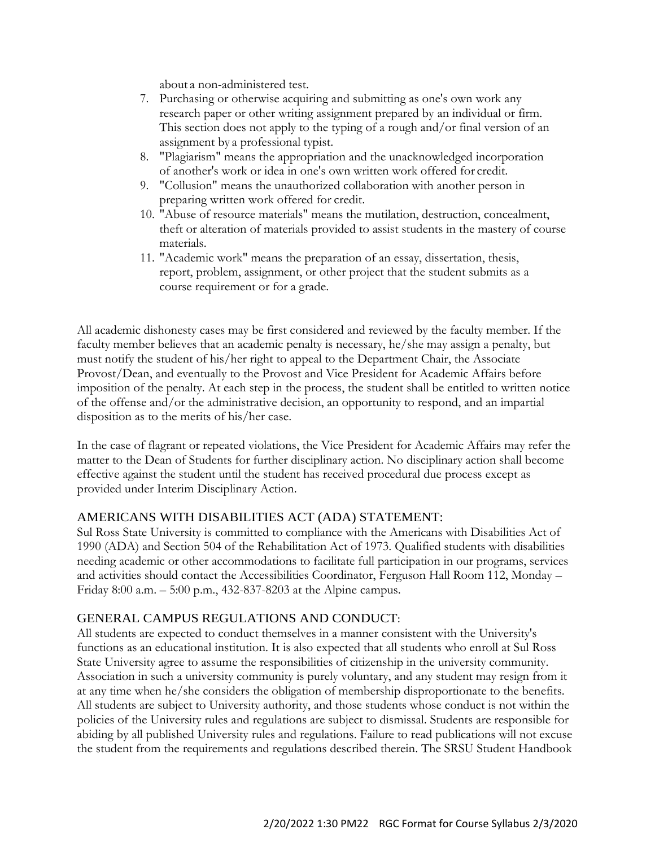about a non-administered test.

- 7. Purchasing or otherwise acquiring and submitting as one's own work any research paper or other writing assignment prepared by an individual or firm. This section does not apply to the typing of a rough and/or final version of an assignment by a professional typist.
- 8. "Plagiarism" means the appropriation and the unacknowledged incorporation of another's work or idea in one's own written work offered for credit.
- 9. "Collusion" means the unauthorized collaboration with another person in preparing written work offered for credit.
- 10. "Abuse of resource materials" means the mutilation, destruction, concealment, theft or alteration of materials provided to assist students in the mastery of course materials.
- 11. "Academic work" means the preparation of an essay, dissertation, thesis, report, problem, assignment, or other project that the student submits as a course requirement or for a grade.

All academic dishonesty cases may be first considered and reviewed by the faculty member. If the faculty member believes that an academic penalty is necessary, he/she may assign a penalty, but must notify the student of his/her right to appeal to the Department Chair, the Associate Provost/Dean, and eventually to the Provost and Vice President for Academic Affairs before imposition of the penalty. At each step in the process, the student shall be entitled to written notice of the offense and/or the administrative decision, an opportunity to respond, and an impartial disposition as to the merits of his/her case.

In the case of flagrant or repeated violations, the Vice President for Academic Affairs may refer the matter to the Dean of Students for further disciplinary action. No disciplinary action shall become effective against the student until the student has received procedural due process except as provided under Interim Disciplinary Action.

## AMERICANS WITH DISABILITIES ACT (ADA) STATEMENT:

Sul Ross State University is committed to compliance with the Americans with Disabilities Act of 1990 (ADA) and Section 504 of the Rehabilitation Act of 1973. Qualified students with disabilities needing academic or other accommodations to facilitate full participation in our programs, services and activities should contact the Accessibilities Coordinator, Ferguson Hall Room 112, Monday – Friday 8:00 a.m. – 5:00 p.m., 432-837-8203 at the Alpine campus.

# GENERAL CAMPUS REGULATIONS AND CONDUCT:

All students are expected to conduct themselves in a manner consistent with the University's functions as an educational institution. It is also expected that all students who enroll at Sul Ross State University agree to assume the responsibilities of citizenship in the university community. Association in such a university community is purely voluntary, and any student may resign from it at any time when he/she considers the obligation of membership disproportionate to the benefits. All students are subject to University authority, and those students whose conduct is not within the policies of the University rules and regulations are subject to dismissal. Students are responsible for abiding by all published University rules and regulations. Failure to read publications will not excuse the student from the requirements and regulations described therein. The SRSU Student Handbook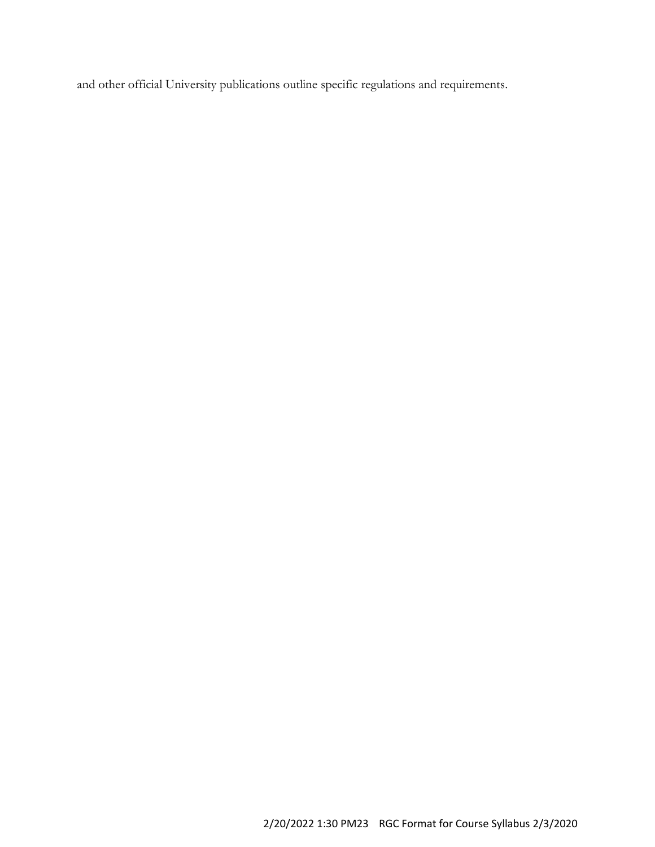and other official University publications outline specific regulations and requirements.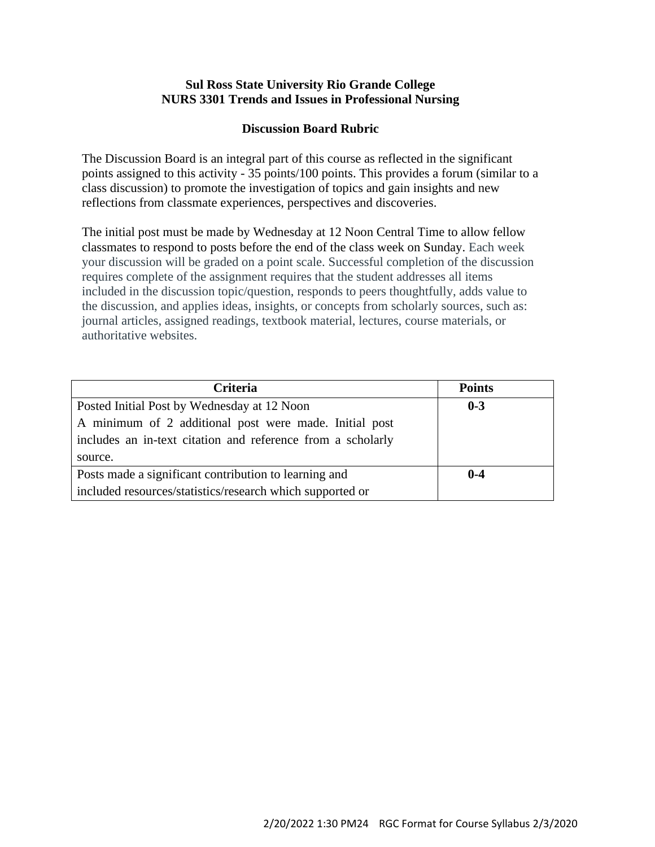## **Sul Ross State University Rio Grande College NURS 3301 Trends and Issues in Professional Nursing**

# **Discussion Board Rubric**

The Discussion Board is an integral part of this course as reflected in the significant points assigned to this activity - 35 points/100 points. This provides a forum (similar to a class discussion) to promote the investigation of topics and gain insights and new reflections from classmate experiences, perspectives and discoveries.

The initial post must be made by Wednesday at 12 Noon Central Time to allow fellow classmates to respond to posts before the end of the class week on Sunday. Each week your discussion will be graded on a point scale. Successful completion of the discussion requires complete of the assignment requires that the student addresses all items included in the discussion topic/question, responds to peers thoughtfully, adds value to the discussion, and applies ideas, insights, or concepts from scholarly sources, such as: journal articles, assigned readings, textbook material, lectures, course materials, or authoritative websites.

| <b>Criteria</b>                                             | <b>Points</b> |
|-------------------------------------------------------------|---------------|
| Posted Initial Post by Wednesday at 12 Noon                 | $0 - 3$       |
| A minimum of 2 additional post were made. Initial post      |               |
| includes an in-text citation and reference from a scholarly |               |
| source.                                                     |               |
| Posts made a significant contribution to learning and       | $0-4$         |
| included resources/statistics/research which supported or   |               |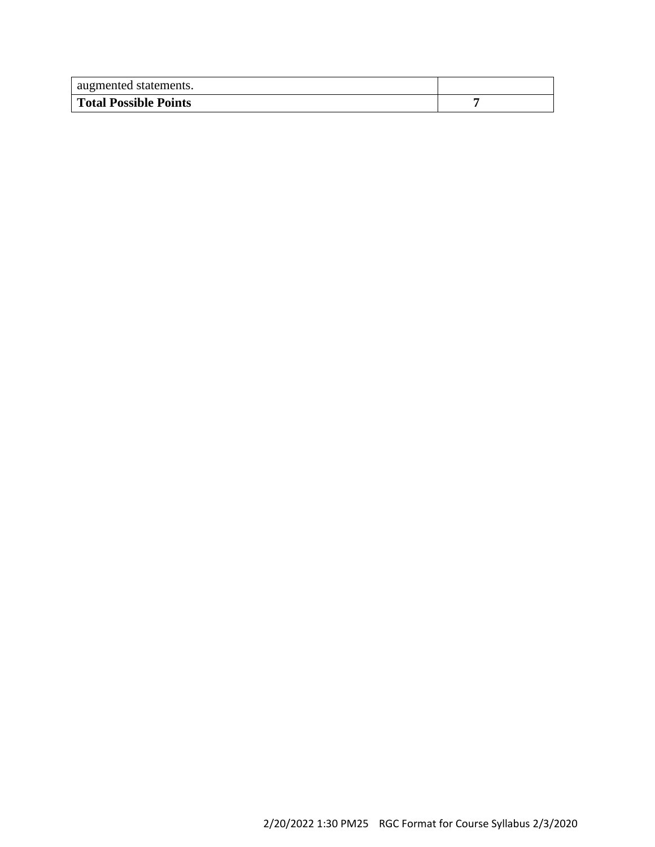| augmented statements.        |  |
|------------------------------|--|
| <b>Total Possible Points</b> |  |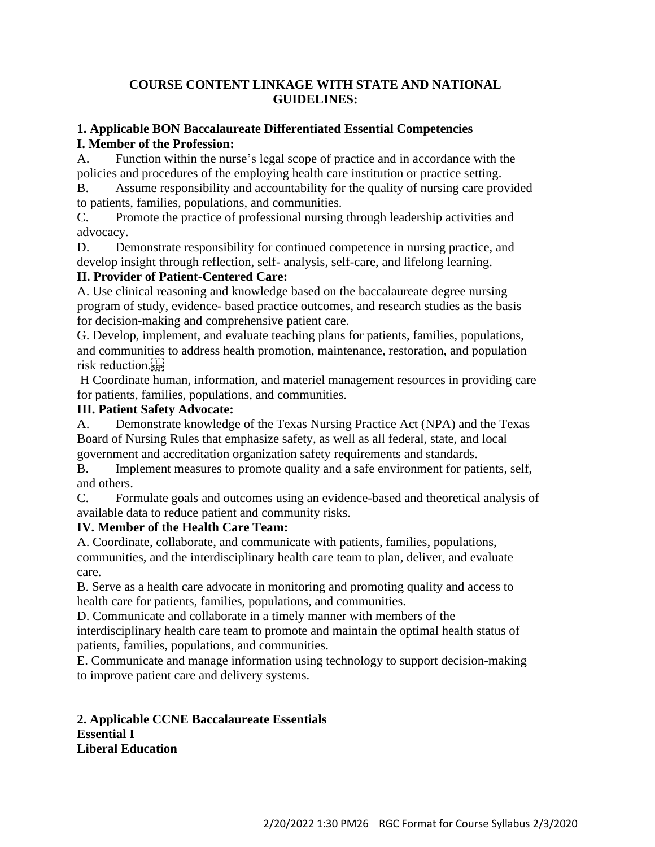# **COURSE CONTENT LINKAGE WITH STATE AND NATIONAL GUIDELINES:**

# **1. Applicable BON Baccalaureate Differentiated Essential Competencies I. Member of the Profession:**

A. Function within the nurse's legal scope of practice and in accordance with the policies and procedures of the employing health care institution or practice setting.

B. Assume responsibility and accountability for the quality of nursing care provided to patients, families, populations, and communities.

C. Promote the practice of professional nursing through leadership activities and advocacy.

D. Demonstrate responsibility for continued competence in nursing practice, and develop insight through reflection, self- analysis, self-care, and lifelong learning.

# **II. Provider of Patient-Centered Care:**

A. Use clinical reasoning and knowledge based on the baccalaureate degree nursing program of study, evidence- based practice outcomes, and research studies as the basis for decision-making and comprehensive patient care.

G. Develop, implement, and evaluate teaching plans for patients, families, populations, and communities to address health promotion, maintenance, restoration, and population risk reduction.

H Coordinate human, information, and materiel management resources in providing care for patients, families, populations, and communities.

# **III. Patient Safety Advocate:**

A. Demonstrate knowledge of the Texas Nursing Practice Act (NPA) and the Texas Board of Nursing Rules that emphasize safety, as well as all federal, state, and local government and accreditation organization safety requirements and standards.

B. Implement measures to promote quality and a safe environment for patients, self, and others.

C. Formulate goals and outcomes using an evidence-based and theoretical analysis of available data to reduce patient and community risks.

# **IV. Member of the Health Care Team:**

A. Coordinate, collaborate, and communicate with patients, families, populations, communities, and the interdisciplinary health care team to plan, deliver, and evaluate care.

B. Serve as a health care advocate in monitoring and promoting quality and access to health care for patients, families, populations, and communities.

D. Communicate and collaborate in a timely manner with members of the

interdisciplinary health care team to promote and maintain the optimal health status of patients, families, populations, and communities.

E. Communicate and manage information using technology to support decision-making to improve patient care and delivery systems.

**2. Applicable CCNE Baccalaureate Essentials Essential I Liberal Education**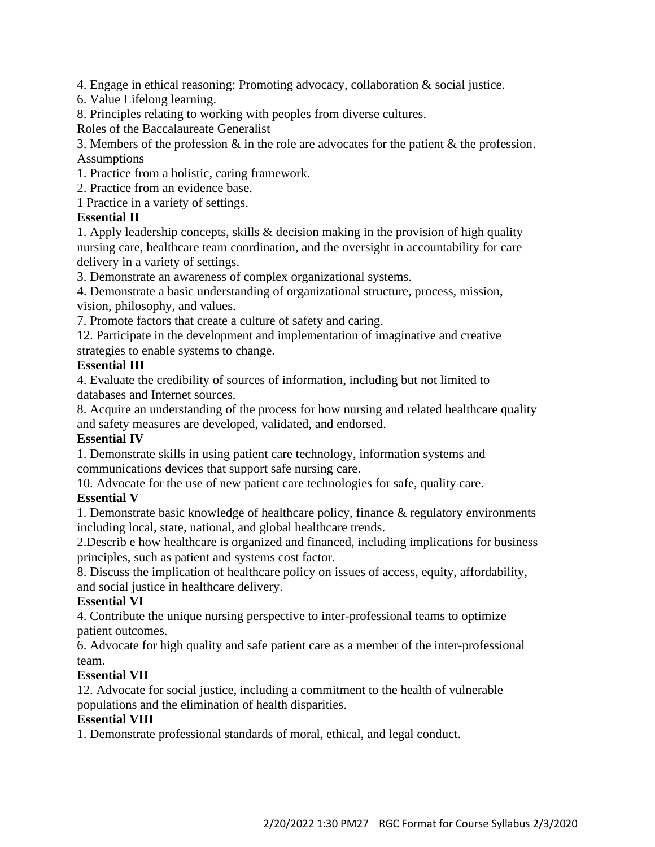4. Engage in ethical reasoning: Promoting advocacy, collaboration & social justice.

6. Value Lifelong learning.

8. Principles relating to working with peoples from diverse cultures.

Roles of the Baccalaureate Generalist

3. Members of the profession & in the role are advocates for the patient & the profession. Assumptions

1. Practice from a holistic, caring framework.

2. Practice from an evidence base.

1 Practice in a variety of settings.

# **Essential II**

1. Apply leadership concepts, skills & decision making in the provision of high quality nursing care, healthcare team coordination, and the oversight in accountability for care delivery in a variety of settings.

3. Demonstrate an awareness of complex organizational systems.

4. Demonstrate a basic understanding of organizational structure, process, mission, vision, philosophy, and values.

7. Promote factors that create a culture of safety and caring.

12. Participate in the development and implementation of imaginative and creative strategies to enable systems to change.

# **Essential III**

4. Evaluate the credibility of sources of information, including but not limited to databases and Internet sources.

8. Acquire an understanding of the process for how nursing and related healthcare quality and safety measures are developed, validated, and endorsed.

# **Essential IV**

1. Demonstrate skills in using patient care technology, information systems and communications devices that support safe nursing care.

10. Advocate for the use of new patient care technologies for safe, quality care. **Essential V**

1. Demonstrate basic knowledge of healthcare policy, finance & regulatory environments including local, state, national, and global healthcare trends.

2.Describ e how healthcare is organized and financed, including implications for business principles, such as patient and systems cost factor.

8. Discuss the implication of healthcare policy on issues of access, equity, affordability, and social justice in healthcare delivery.

# **Essential VI**

4. Contribute the unique nursing perspective to inter-professional teams to optimize patient outcomes.

6. Advocate for high quality and safe patient care as a member of the inter-professional team.

# **Essential VII**

12. Advocate for social justice, including a commitment to the health of vulnerable populations and the elimination of health disparities.

# **Essential VIII**

1. Demonstrate professional standards of moral, ethical, and legal conduct.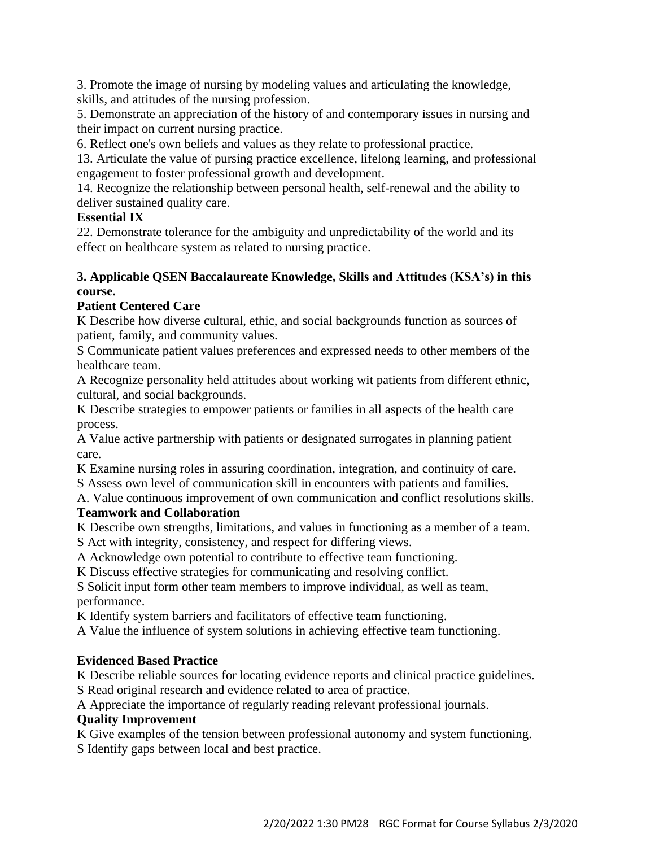3. Promote the image of nursing by modeling values and articulating the knowledge, skills, and attitudes of the nursing profession.

5. Demonstrate an appreciation of the history of and contemporary issues in nursing and their impact on current nursing practice.

6. Reflect one's own beliefs and values as they relate to professional practice.

13. Articulate the value of pursing practice excellence, lifelong learning, and professional engagement to foster professional growth and development.

14. Recognize the relationship between personal health, self-renewal and the ability to deliver sustained quality care.

# **Essential IX**

22. Demonstrate tolerance for the ambiguity and unpredictability of the world and its effect on healthcare system as related to nursing practice.

# **3. Applicable QSEN Baccalaureate Knowledge, Skills and Attitudes (KSA's) in this course.**

# **Patient Centered Care**

K Describe how diverse cultural, ethic, and social backgrounds function as sources of patient, family, and community values.

S Communicate patient values preferences and expressed needs to other members of the healthcare team.

A Recognize personality held attitudes about working wit patients from different ethnic, cultural, and social backgrounds.

K Describe strategies to empower patients or families in all aspects of the health care process.

A Value active partnership with patients or designated surrogates in planning patient care.

K Examine nursing roles in assuring coordination, integration, and continuity of care.

S Assess own level of communication skill in encounters with patients and families.

A. Value continuous improvement of own communication and conflict resolutions skills.

# **Teamwork and Collaboration**

K Describe own strengths, limitations, and values in functioning as a member of a team. S Act with integrity, consistency, and respect for differing views.

A Acknowledge own potential to contribute to effective team functioning.

K Discuss effective strategies for communicating and resolving conflict.

S Solicit input form other team members to improve individual, as well as team, performance.

K Identify system barriers and facilitators of effective team functioning.

A Value the influence of system solutions in achieving effective team functioning.

# **Evidenced Based Practice**

K Describe reliable sources for locating evidence reports and clinical practice guidelines.

S Read original research and evidence related to area of practice.

A Appreciate the importance of regularly reading relevant professional journals.

# **Quality Improvement**

K Give examples of the tension between professional autonomy and system functioning. S Identify gaps between local and best practice.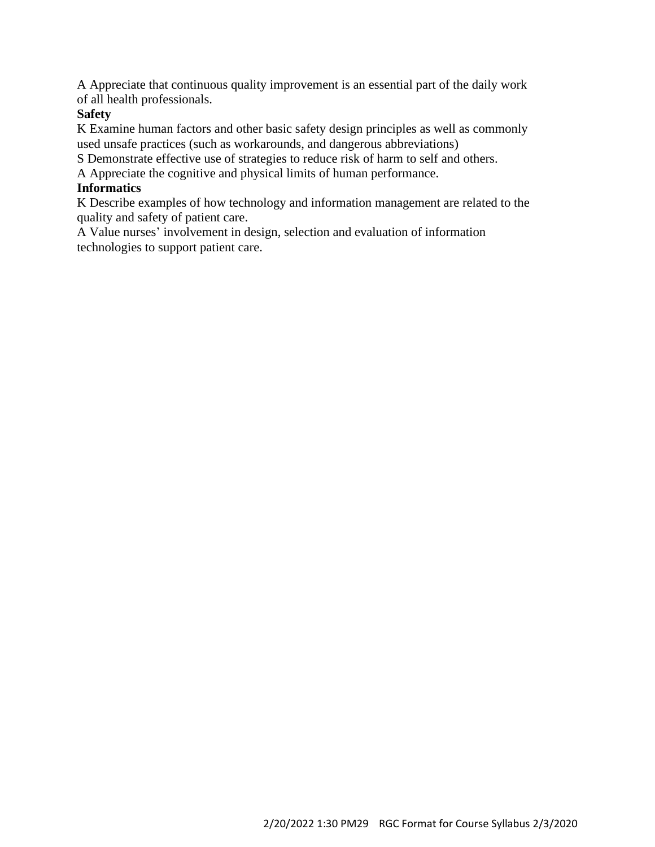A Appreciate that continuous quality improvement is an essential part of the daily work of all health professionals.

# **Safety**

K Examine human factors and other basic safety design principles as well as commonly used unsafe practices (such as workarounds, and dangerous abbreviations)

S Demonstrate effective use of strategies to reduce risk of harm to self and others.

A Appreciate the cognitive and physical limits of human performance.

# **Informatics**

K Describe examples of how technology and information management are related to the quality and safety of patient care.

A Value nurses' involvement in design, selection and evaluation of information technologies to support patient care.